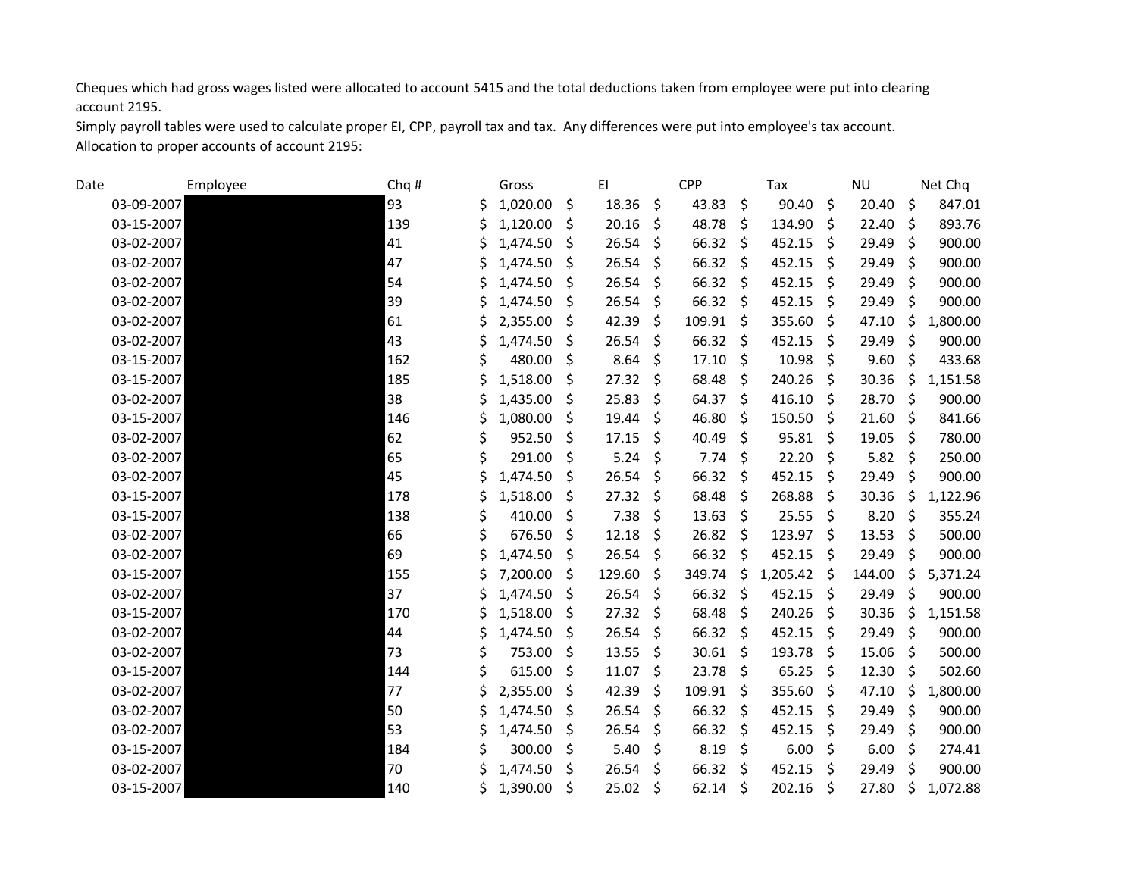Cheques which had gross wages listed were allocated to account 5415 and the total deductions taken from employee were put into clearing account 2195.

Simply payroll tables were used to calculate proper EI, CPP, payroll tax and tax. Any differences were put into employee's tax account. Allocation to proper accounts of account 2195:

| Date |            | Employee | Chq # |   | Gross    |              | EI           |                    | CPP             |         | Tax           |                    | <b>NU</b> |         | Net Chq  |
|------|------------|----------|-------|---|----------|--------------|--------------|--------------------|-----------------|---------|---------------|--------------------|-----------|---------|----------|
|      | 03-09-2007 |          | 93    |   | 1,020.00 | Ŝ.           | 18.36        | - \$               | 43.83           | Ŝ.      | 90.40         | \$                 | 20.40     | Ŝ.      | 847.01   |
|      | 03-15-2007 |          | 139   | Ś | 1,120.00 | S            | 20.16        | $\zeta$            | 48.78           | -\$     | 134.90        | \$                 | 22.40     | Ŝ.      | 893.76   |
|      | 03-02-2007 |          | 41    |   | 1,474.50 | Ŝ.           | 26.54        | - \$               | 66.32           | \$      | 452.15        | $\zeta$            | 29.49     | $\zeta$ | 900.00   |
|      | 03-02-2007 |          | 47    |   | 1,474.50 | Ŝ.           | 26.54        | $\zeta$            | 66.32           | \$      | 452.15        | \$                 | 29.49     | \$      | 900.00   |
|      | 03-02-2007 |          | 54    |   | 1,474.50 | Ŝ.           | 26.54        | -\$                | $66.32 \quad $$ |         | 452.15        | - \$               | 29.49     | -S      | 900.00   |
|      | 03-02-2007 |          | 39    |   | 1,474.50 | -\$          | $26.54$ \$   |                    | $66.32 \quad $$ |         | 452.15        | - \$               | 29.49     | $\zeta$ | 900.00   |
|      | 03-02-2007 |          | 61    |   | 2,355.00 | Ŝ.           | 42.39        | $\zeta$            | 109.91          | - \$    | 355.60        | \$                 | 47.10     | $\zeta$ | 1,800.00 |
|      | 03-02-2007 |          | 43    | Ś | 1,474.50 | Ŝ.           | 26.54        | - \$               | $66.32 \quad $$ |         | 452.15        | -\$                | 29.49     | $\zeta$ | 900.00   |
|      | 03-15-2007 |          | 162   |   | 480.00   | Ŝ.           | 8.64         | - \$               | 17.10           | \$      | 10.98         | $\zeta$            | 9.60      | $\zeta$ | 433.68   |
|      | 03-15-2007 |          | 185   |   | 1,518.00 | \$           | 27.32        | $\zeta$            | 68.48           | \$      | 240.26        | \$                 | 30.36     | \$      | 1,151.58 |
|      | 03-02-2007 |          | 38    | Ś | 1,435.00 | Ŝ.           | 25.83        | - \$               | 64.37           | \$      | 416.10        | \$                 | 28.70     | $\zeta$ | 900.00   |
|      | 03-15-2007 |          | 146   |   | 1,080.00 | <sup>S</sup> | 19.44        | - \$               | 46.80           | Ŝ.      | 150.50        | - \$               | 21.60     | S.      | 841.66   |
|      | 03-02-2007 |          | 62    |   | 952.50   | S.           | 17.15        | $\mathsf{\hat{S}}$ | 40.49           | Ŝ.      | $95.81$ \$    |                    | 19.05     | -\$     | 780.00   |
|      | 03-02-2007 |          | 65    |   | 291.00   | Ŝ.           | 5.24         | -\$                | 7.74            | -\$     | 22.20         | \$                 | 5.82      | $\zeta$ | 250.00   |
|      | 03-02-2007 |          | 45    |   | 1,474.50 | Ŝ.           | 26.54        | -\$                | 66.32           | \$      | 452.15        | \$                 | 29.49     | \$      | 900.00   |
|      | 03-15-2007 |          | 178   |   | 1,518.00 | Ŝ.           | 27.32        | $\zeta$            | 68.48           | Ŝ.      | 268.88        | Ŝ.                 | 30.36     | \$      | 1,122.96 |
|      | 03-15-2007 |          | 138   |   | 410.00   | S            | 7.38         | \$                 | $13.63 \quad $$ |         | 25.55         | $\ddot{\varsigma}$ | 8.20      | \$      | 355.24   |
|      | 03-02-2007 |          | 66    |   | 676.50   | Ŝ.           | 12.18        | $\zeta$            | 26.82           | -\$     | 123.97        | \$                 | 13.53     | Ŝ.      | 500.00   |
|      | 03-02-2007 |          | 69    |   | 1,474.50 | Ŝ.           | $26.54$ \$   |                    | 66.32           | -\$     | 452.15        | - \$               | 29.49     | \$      | 900.00   |
|      | 03-15-2007 |          | 155   |   | 7,200.00 | S            | 129.60       | \$                 | 349.74          | \$      | $1,205.42$ \$ |                    | 144.00    | \$      | 5,371.24 |
|      | 03-02-2007 |          | 37    |   | 1,474.50 | \$           | 26.54        | - \$               | 66.32           | -\$     | 452.15        | \$                 | 29.49     | \$      | 900.00   |
|      | 03-15-2007 |          | 170   |   | 1,518.00 | Ŝ.           | $27.32 \div$ |                    | 68.48           | \$      | 240.26        | - \$               | 30.36     | \$      | 1,151.58 |
|      | 03-02-2007 |          | 44    |   | 1,474.50 | \$.          | $26.54$ \$   |                    | $66.32 \quad $$ |         | 452.15        | - \$               | 29.49     | $\zeta$ | 900.00   |
|      | 03-02-2007 |          | 73    |   | 753.00   | Ŝ.           | 13.55        | $\zeta$            | 30.61           | $\zeta$ | 193.78        | \$                 | 15.06     | Ŝ.      | 500.00   |
|      | 03-15-2007 |          | 144   |   | 615.00   | Ŝ.           | 11.07        | $\mathsf{\hat{S}}$ | $23.78$ \$      |         | $65.25$ \$    |                    | 12.30     | \$      | 502.60   |
|      | 03-02-2007 |          | 77    |   | 2,355.00 | S            | 42.39        | $\zeta$            | 109.91          | \$      | 355.60        | \$                 | 47.10     | $\zeta$ | 1,800.00 |
|      | 03-02-2007 |          | 50    |   | 1,474.50 | \$           | 26.54        | $\zeta$            | 66.32           | \$      | 452.15        | \$                 | 29.49     | $\zeta$ | 900.00   |
|      | 03-02-2007 |          | 53    |   | 1,474.50 | S            | 26.54        | \$                 | $66.32 \quad $$ |         | 452.15        | \$                 | 29.49     | -S      | 900.00   |
|      | 03-15-2007 |          | 184   |   | 300.00   | S.           | 5.40         | - \$               | 8.19            | \$      | 6.00          | $\zeta$            | 6.00      | $\zeta$ | 274.41   |
|      | 03-02-2007 |          | 70    |   | 1,474.50 | Ŝ.           | 26.54        | -\$                | 66.32           | Ŝ.      | 452.15        | Ŝ.                 | 29.49     | Š.      | 900.00   |
|      | 03-15-2007 |          | 140   | Ś | 1,390.00 | \$           | 25.02        | - \$               | $62.14$ \$      |         | 202.16        | $\zeta$            | 27.80     | Ŝ.      | 1,072.88 |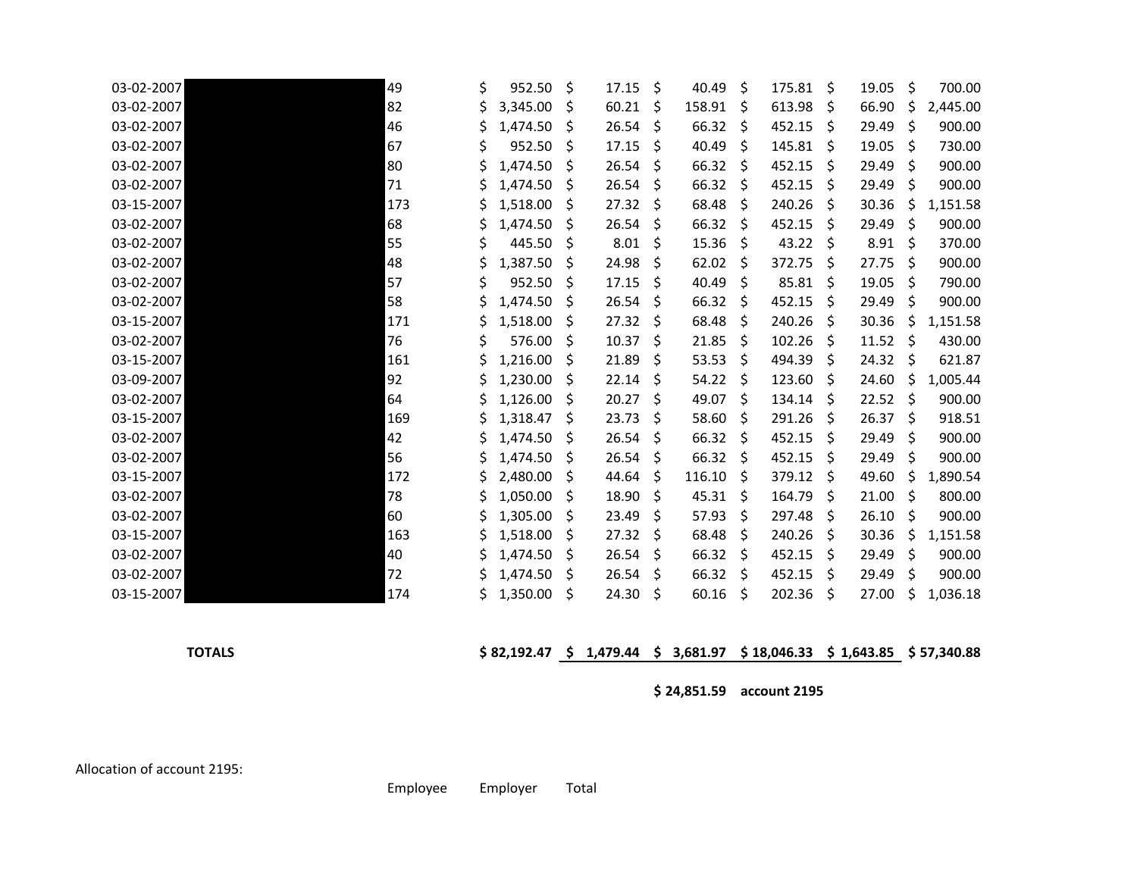| 03-02-2007 | 49  | \$ | 952.50   | \$ | 17.15 | \$           | 40.49  | \$  | 175.81 | \$           | 19.05 | \$           | 700.00   |
|------------|-----|----|----------|----|-------|--------------|--------|-----|--------|--------------|-------|--------------|----------|
| 03-02-2007 | 82  |    | 3,345.00 | Ŝ  | 60.21 | <sub>S</sub> | 158.91 | -\$ | 613.98 | S.           | 66.90 | S            | 2,445.00 |
| 03-02-2007 | 46  |    | 1,474.50 | S  | 26.54 | -\$          | 66.32  | \$  | 452.15 | S            | 29.49 | \$           | 900.00   |
| 03-02-2007 | 67  |    | 952.50   | S  | 17.15 | S            | 40.49  | -\$ | 145.81 | S            | 19.05 | S            | 730.00   |
| 03-02-2007 | 80  |    | 1,474.50 | S  | 26.54 | \$           | 66.32  | -\$ | 452.15 | S            | 29.49 | S            | 900.00   |
| 03-02-2007 | 71  |    | 1,474.50 | S  | 26.54 | \$.          | 66.32  | S.  | 452.15 | S.           | 29.49 | S.           | 900.00   |
| 03-15-2007 | 173 |    | 1,518.00 | S  | 27.32 | \$.          | 68.48  | -\$ | 240.26 | S            | 30.36 | S            | 1,151.58 |
| 03-02-2007 | 68  |    | 1,474.50 | S  | 26.54 | \$           | 66.32  | \$  | 452.15 | S            | 29.49 | \$           | 900.00   |
| 03-02-2007 | 55  |    | 445.50   | S  | 8.01  | S            | 15.36  | S.  | 43.22  | S            | 8.91  | S            | 370.00   |
| 03-02-2007 | 48  |    | 1,387.50 | S  | 24.98 | \$           | 62.02  | \$  | 372.75 | S.           | 27.75 | Ś            | 900.00   |
| 03-02-2007 | 57  | S  | 952.50   | S  | 17.15 | \$           | 40.49  | Ŝ.  | 85.81  | S            | 19.05 | S            | 790.00   |
| 03-02-2007 | 58  |    | 1,474.50 | S  | 26.54 | \$           | 66.32  | \$  | 452.15 | S            | 29.49 | \$           | 900.00   |
| 03-15-2007 | 171 |    | 1,518.00 | S  | 27.32 | \$           | 68.48  | \$  | 240.26 | S            | 30.36 | S            | 1,151.58 |
| 03-02-2007 | 76  |    | 576.00   | S  | 10.37 | \$           | 21.85  | S.  | 102.26 | S            | 11.52 | \$           | 430.00   |
| 03-15-2007 | 161 |    | 1,216.00 | S  | 21.89 | \$           | 53.53  | -\$ | 494.39 | S            | 24.32 | S            | 621.87   |
| 03-09-2007 | 92  |    | 1,230.00 | S  | 22.14 | \$           | 54.22  | -\$ | 123.60 | S            | 24.60 | S            | 1,005.44 |
| 03-02-2007 | 64  |    | 1,126.00 | S  | 20.27 | \$.          | 49.07  | -\$ | 134.14 | S.           | 22.52 | Ŝ            | 900.00   |
| 03-15-2007 | 169 |    | 1,318.47 | S  | 23.73 | \$           | 58.60  | \$  | 291.26 | S            | 26.37 | \$           | 918.51   |
| 03-02-2007 | 42  |    | 1,474.50 | S  | 26.54 | <sub>S</sub> | 66.32  | -Ŝ  | 452.15 | S.           | 29.49 | <sup>S</sup> | 900.00   |
| 03-02-2007 | 56  |    | 1,474.50 | S  | 26.54 | \$.          | 66.32  | -\$ | 452.15 | S            | 29.49 | \$           | 900.00   |
| 03-15-2007 | 172 |    | 2,480.00 | S  | 44.64 | S            | 116.10 | -\$ | 379.12 | <sup>S</sup> | 49.60 | S            | 1,890.54 |
| 03-02-2007 | 78  |    | 1,050.00 | S  | 18.90 | \$.          | 45.31  | -\$ | 164.79 | S            | 21.00 | S            | 800.00   |
| 03-02-2007 | 60  |    | 1,305.00 | S  | 23.49 | \$           | 57.93  | \$  | 297.48 | S            | 26.10 | Ś            | 900.00   |
| 03-15-2007 | 163 |    | 1,518.00 | S  | 27.32 | <sub>S</sub> | 68.48  | Ŝ.  | 240.26 | S            | 30.36 | Ś            | 1,151.58 |
| 03-02-2007 | 40  |    | 1,474.50 | \$ | 26.54 | \$           | 66.32  | \$  | 452.15 | S            | 29.49 | \$           | 900.00   |
| 03-02-2007 | 72  |    | 1,474.50 | S  | 26.54 | <sub>S</sub> | 66.32  | S   | 452.15 | S            | 29.49 | S            | 900.00   |
| 03-15-2007 | 174 |    | 1,350.00 | Ś  | 24.30 | Ŝ            | 60.16  | Ŝ   | 202.36 | Ś            | 27.00 |              | 1,036.18 |

## **TOTALS \$ 82,192.47 \$ 1,479.44 \$ 3,681.97 \$ 18,046.33 \$ 1,643.85 \$ 57,340.88**

**\$ 24,851.59 account 2195**

Allocation of account 2195:

Employee Employer Total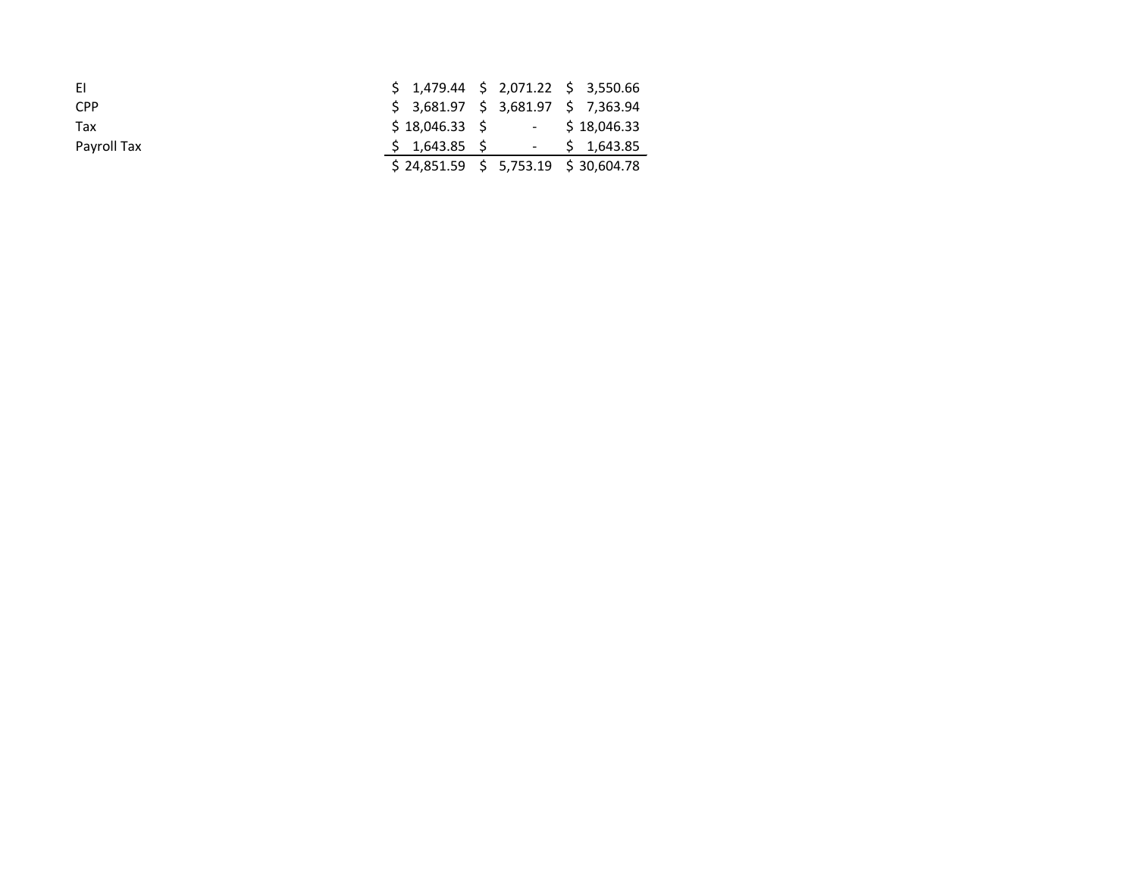| EL.         |  | $$1,479.44 \t$2,071.22 \t$3,550.66$   |
|-------------|--|---------------------------------------|
| <b>CPP</b>  |  | $$3,681.97$ $$3,681.97$ $$7,363.94$   |
| Tax         |  | $$18,046.33$ \$ $$18,046.33$          |
| Payroll Tax |  | $$1,643.85$ \$ $$1,643.85$            |
|             |  | $$24,851.59$ $$5,753.19$ $$30,604.78$ |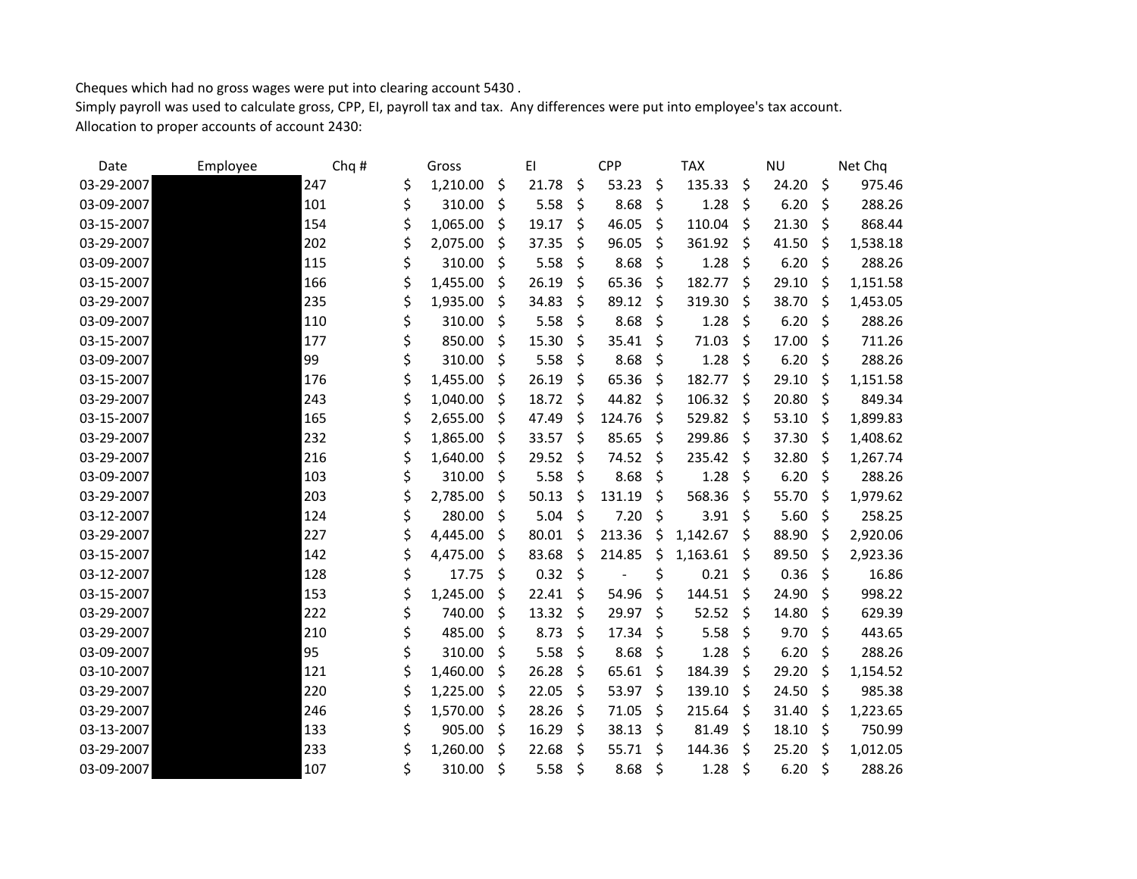Cheques which had no gross wages were put into clearing account 5430 . Simply payroll was used to calculate gross, CPP, EI, payroll tax and tax. Any differences were put into employee's tax account. Allocation to proper accounts of account 2430:

| Date       | Employee | Chq # |    | Gross    |              | EI    |     | <b>CPP</b> |     | <b>TAX</b> |         | <b>NU</b> | Net Chq        |
|------------|----------|-------|----|----------|--------------|-------|-----|------------|-----|------------|---------|-----------|----------------|
| 03-29-2007 |          | 247   | \$ | 1,210.00 | \$           | 21.78 | \$  | 53.23      | \$  | 135.33     | \$      | 24.20     | \$<br>975.46   |
| 03-09-2007 |          | 101   | \$ | 310.00   | \$           | 5.58  | \$  | 8.68       | \$  | 1.28       | \$      | 6.20      | \$<br>288.26   |
| 03-15-2007 |          | 154   | \$ | 1,065.00 | \$.          | 19.17 | \$  | 46.05      | \$  | 110.04     | \$      | 21.30     | \$<br>868.44   |
| 03-29-2007 |          | 202   | Ś  | 2,075.00 | \$           | 37.35 | \$  | 96.05      | \$  | 361.92     | $\zeta$ | 41.50     | \$<br>1,538.18 |
| 03-09-2007 |          | 115   | \$ | 310.00   | \$.          | 5.58  | \$  | 8.68       | \$  | 1.28       | -\$     | 6.20      | \$<br>288.26   |
| 03-15-2007 |          | 166   | \$ | 1,455.00 | -\$          | 26.19 | \$  | 65.36      | \$  | 182.77     | \$      | 29.10     | \$<br>1,151.58 |
| 03-29-2007 |          | 235   | \$ | 1,935.00 | \$           | 34.83 | \$  | 89.12      | Ŝ.  | 319.30     | \$      | 38.70     | \$<br>1,453.05 |
| 03-09-2007 |          | 110   | \$ | 310.00   | S            | 5.58  | \$  | 8.68       | \$  | 1.28       | Ŝ.      | 6.20      | \$<br>288.26   |
| 03-15-2007 |          | 177   | \$ | 850.00   | Ŝ.           | 15.30 | \$  | 35.41      | \$. | 71.03      | \$      | 17.00     | \$<br>711.26   |
| 03-09-2007 |          | 99    | \$ | 310.00   | \$           | 5.58  | \$  | 8.68       | \$  | 1.28       | \$      | 6.20      | \$<br>288.26   |
| 03-15-2007 |          | 176   |    | 1,455.00 | \$           | 26.19 | \$  | 65.36      | \$  | 182.77     | Ŝ.      | 29.10     | \$<br>1,151.58 |
| 03-29-2007 |          | 243   | \$ | 1,040.00 | \$           | 18.72 | \$  | 44.82      | Ŝ.  | 106.32     | \$      | 20.80     | \$<br>849.34   |
| 03-15-2007 |          | 165   | Ś  | 2,655.00 | <sub>S</sub> | 47.49 | \$  | 124.76     | Ś   | 529.82     | \$      | 53.10     | \$<br>1,899.83 |
| 03-29-2007 |          | 232   | \$ | 1,865.00 | <sub>S</sub> | 33.57 | \$  | 85.65      | \$  | 299.86     | -\$     | 37.30     | \$<br>1,408.62 |
| 03-29-2007 |          | 216   | \$ | 1,640.00 | \$           | 29.52 | \$  | 74.52      | \$. | 235.42     | -\$     | 32.80     | \$<br>1,267.74 |
| 03-09-2007 |          | 103   | \$ | 310.00   | Ŝ.           | 5.58  | \$  | 8.68       | \$  | 1.28       | \$      | 6.20      | \$<br>288.26   |
| 03-29-2007 |          | 203   |    | 2,785.00 | \$.          | 50.13 | \$  | 131.19     | \$  | 568.36     | \$      | 55.70     | \$<br>1,979.62 |
| 03-12-2007 |          | 124   | \$ | 280.00   | \$           | 5.04  | \$  | 7.20       | \$  | 3.91       | \$      | 5.60      | \$<br>258.25   |
| 03-29-2007 |          | 227   | \$ | 4,445.00 | \$           | 80.01 | \$  | 213.36     | \$  | 1,142.67   | \$      | 88.90     | \$<br>2,920.06 |
| 03-15-2007 |          | 142   |    | 4,475.00 | S            | 83.68 | \$. | 214.85     | \$  | 1,163.61   | S       | 89.50     | \$<br>2,923.36 |
| 03-12-2007 |          | 128   | \$ | 17.75    | \$           | 0.32  | \$  |            | \$  | 0.21       | \$      | 0.36      | \$<br>16.86    |
| 03-15-2007 |          | 153   | \$ | 1,245.00 | \$           | 22.41 | \$  | 54.96      | \$  | 144.51     | Ŝ.      | 24.90     | \$<br>998.22   |
| 03-29-2007 |          | 222   | \$ | 740.00   | -\$          | 13.32 | \$  | 29.97      | \$  | 52.52      | \$      | 14.80     | \$<br>629.39   |
| 03-29-2007 |          | 210   | \$ | 485.00   | \$           | 8.73  | \$  | 17.34      | \$  | 5.58       | \$      | 9.70      | \$<br>443.65   |
| 03-09-2007 |          | 95    | \$ | 310.00   | S            | 5.58  | \$  | 8.68       | \$  | 1.28       | Ŝ.      | 6.20      | \$<br>288.26   |
| 03-10-2007 |          | 121   | \$ | 1,460.00 | \$           | 26.28 | \$  | 65.61      | \$. | 184.39     | \$      | 29.20     | \$<br>1,154.52 |
| 03-29-2007 |          | 220   | \$ | 1,225.00 | \$           | 22.05 | \$  | 53.97      | \$  | 139.10     | \$      | 24.50     | \$<br>985.38   |
| 03-29-2007 |          | 246   | \$ | 1,570.00 | \$.          | 28.26 | \$  | 71.05      | \$  | 215.64     | Ŝ.      | 31.40     | \$<br>1,223.65 |
| 03-13-2007 |          | 133   | \$ | 905.00   | \$           | 16.29 | \$  | 38.13      | \$  | 81.49      | Ŝ.      | 18.10     | \$<br>750.99   |
| 03-29-2007 |          | 233   |    | 1,260.00 | \$           | 22.68 | \$  | 55.71      | \$  | 144.36     | \$      | 25.20     | \$<br>1,012.05 |
| 03-09-2007 |          | 107   | \$ | 310.00   | \$           | 5.58  | \$  | 8.68       | \$  | 1.28       | $\zeta$ | 6.20      | \$<br>288.26   |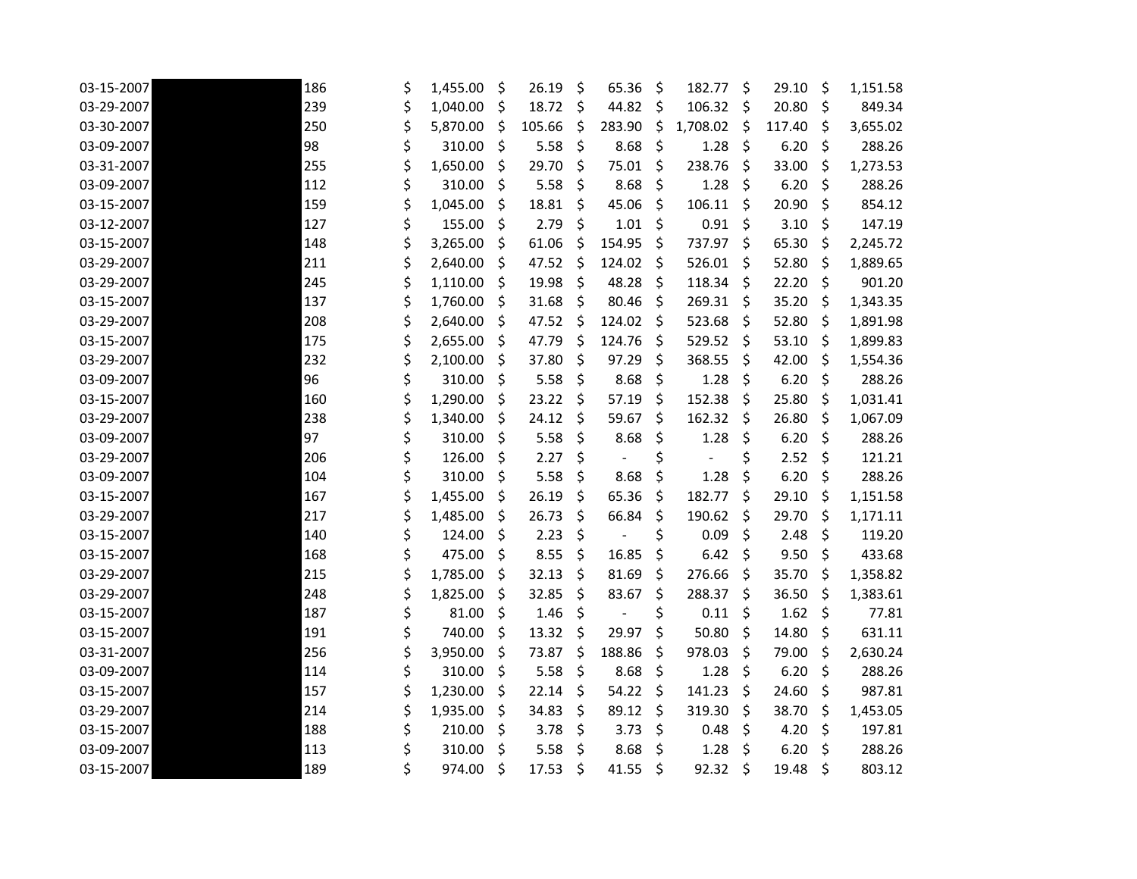| 03-15-2007 | 186 | \$ | 1,455.00 | \$      | 26.19  | \$      | 65.36                    | \$<br>182.77                   | \$      | 29.10  | \$      | 1,151.58 |
|------------|-----|----|----------|---------|--------|---------|--------------------------|--------------------------------|---------|--------|---------|----------|
| 03-29-2007 | 239 | \$ | 1,040.00 | \$      | 18.72  | \$      | 44.82                    | \$<br>106.32                   | \$      | 20.80  | \$      | 849.34   |
| 03-30-2007 | 250 | \$ | 5,870.00 | \$      | 105.66 | \$      | 283.90                   | \$<br>1,708.02                 | \$      | 117.40 | \$      | 3,655.02 |
| 03-09-2007 | 98  | \$ | 310.00   | \$      | 5.58   | \$      | 8.68                     | \$<br>1.28                     | \$      | 6.20   | \$      | 288.26   |
| 03-31-2007 | 255 | \$ | 1,650.00 | \$      | 29.70  | \$      | 75.01                    | \$<br>238.76                   | \$      | 33.00  | \$      | 1,273.53 |
| 03-09-2007 | 112 | \$ | 310.00   | \$      | 5.58   | \$      | 8.68                     | \$<br>1.28                     | \$      | 6.20   | \$      | 288.26   |
| 03-15-2007 | 159 | \$ | 1,045.00 | \$      | 18.81  | \$      | 45.06                    | \$<br>106.11                   | \$      | 20.90  | \$      | 854.12   |
| 03-12-2007 | 127 | \$ | 155.00   | \$      | 2.79   | \$      | 1.01                     | \$<br>0.91                     | \$      | 3.10   | \$      | 147.19   |
| 03-15-2007 | 148 | \$ | 3,265.00 | \$      | 61.06  | \$      | 154.95                   | \$<br>737.97                   | $\zeta$ | 65.30  | $\zeta$ | 2,245.72 |
| 03-29-2007 | 211 | \$ | 2,640.00 | \$      | 47.52  | \$      | 124.02                   | \$<br>526.01                   | \$      | 52.80  | \$      | 1,889.65 |
| 03-29-2007 | 245 | \$ | 1,110.00 | \$      | 19.98  | \$      | 48.28                    | \$<br>118.34                   | \$      | 22.20  | \$      | 901.20   |
| 03-15-2007 | 137 | \$ | 1,760.00 | \$      | 31.68  | \$      | 80.46                    | \$<br>269.31                   | \$      | 35.20  | $\zeta$ | 1,343.35 |
| 03-29-2007 | 208 | \$ | 2,640.00 | \$      | 47.52  | \$      | 124.02                   | \$<br>523.68                   | \$      | 52.80  | $\zeta$ | 1,891.98 |
| 03-15-2007 | 175 | \$ | 2,655.00 | \$      | 47.79  | \$      | 124.76                   | \$<br>529.52                   | \$      | 53.10  | $\zeta$ | 1,899.83 |
| 03-29-2007 | 232 | \$ | 2,100.00 | \$      | 37.80  | \$      | 97.29                    | \$<br>368.55                   | \$      | 42.00  | \$      | 1,554.36 |
| 03-09-2007 | 96  | \$ | 310.00   | \$      | 5.58   | \$      | 8.68                     | \$<br>1.28                     | \$      | 6.20   | \$      | 288.26   |
| 03-15-2007 | 160 | \$ | 1,290.00 | \$      | 23.22  | \$      | 57.19                    | \$<br>152.38                   | \$      | 25.80  | \$      | 1,031.41 |
| 03-29-2007 | 238 | \$ | 1,340.00 | \$      | 24.12  | \$      | 59.67                    | \$<br>162.32                   | \$      | 26.80  | \$      | 1,067.09 |
| 03-09-2007 | 97  | \$ | 310.00   | \$      | 5.58   | \$      | 8.68                     | \$<br>1.28                     | \$      | 6.20   | $\zeta$ | 288.26   |
| 03-29-2007 | 206 | \$ | 126.00   | \$      | 2.27   | \$      | $\overline{\phantom{a}}$ | \$<br>$\overline{\phantom{m}}$ | \$      | 2.52   | \$      | 121.21   |
| 03-09-2007 | 104 | \$ | 310.00   | \$      | 5.58   | \$      | 8.68                     | \$<br>1.28                     | \$      | 6.20   | $\zeta$ | 288.26   |
| 03-15-2007 | 167 | \$ | 1,455.00 | \$.     | 26.19  | \$      | 65.36                    | \$<br>182.77                   | $\zeta$ | 29.10  | $\zeta$ | 1,151.58 |
| 03-29-2007 | 217 | \$ | 1,485.00 | \$      | 26.73  | \$      | 66.84                    | \$<br>190.62                   | \$      | 29.70  | \$      | 1,171.11 |
| 03-15-2007 | 140 | \$ | 124.00   | $\zeta$ | 2.23   | \$      | $\overline{\phantom{a}}$ | \$<br>0.09                     | \$      | 2.48   | \$      | 119.20   |
| 03-15-2007 | 168 | \$ | 475.00   | \$      | 8.55   | \$      | 16.85                    | \$<br>6.42                     | \$      | 9.50   | $\zeta$ | 433.68   |
| 03-29-2007 | 215 | \$ | 1,785.00 | \$      | 32.13  | \$      | 81.69                    | \$<br>276.66                   | \$      | 35.70  | \$      | 1,358.82 |
| 03-29-2007 | 248 | \$ | 1,825.00 | \$      | 32.85  | \$      | 83.67                    | \$<br>288.37                   | \$      | 36.50  | \$      | 1,383.61 |
| 03-15-2007 | 187 | \$ | 81.00    | \$      | 1.46   | \$      |                          | \$<br>0.11                     | \$      | 1.62   | \$      | 77.81    |
| 03-15-2007 | 191 | \$ | 740.00   | \$      | 13.32  | $\zeta$ | 29.97                    | \$<br>50.80                    | \$      | 14.80  | \$      | 631.11   |
| 03-31-2007 | 256 | \$ | 3,950.00 | \$      | 73.87  | \$      | 188.86                   | \$<br>978.03                   | \$      | 79.00  | \$      | 2,630.24 |
| 03-09-2007 | 114 | \$ | 310.00   | \$      | 5.58   | \$      | 8.68                     | \$<br>1.28                     | \$      | 6.20   | \$      | 288.26   |
| 03-15-2007 | 157 | \$ | 1,230.00 | \$      | 22.14  | \$      | 54.22                    | \$<br>141.23                   | \$      | 24.60  | \$      | 987.81   |
| 03-29-2007 | 214 | \$ | 1,935.00 | \$      | 34.83  | \$      | 89.12                    | \$<br>319.30                   | $\zeta$ | 38.70  | \$      | 1,453.05 |
| 03-15-2007 | 188 | \$ | 210.00   | \$      | 3.78   | \$      | 3.73                     | \$<br>0.48                     | \$      | 4.20   | \$      | 197.81   |
| 03-09-2007 | 113 | \$ | 310.00   | \$      | 5.58   | \$      | 8.68                     | \$<br>1.28                     | \$      | 6.20   | \$      | 288.26   |
| 03-15-2007 | 189 | Ś  | 974.00   | \$      | 17.53  | \$      | 41.55                    | \$<br>92.32                    | \$      | 19.48  | \$      | 803.12   |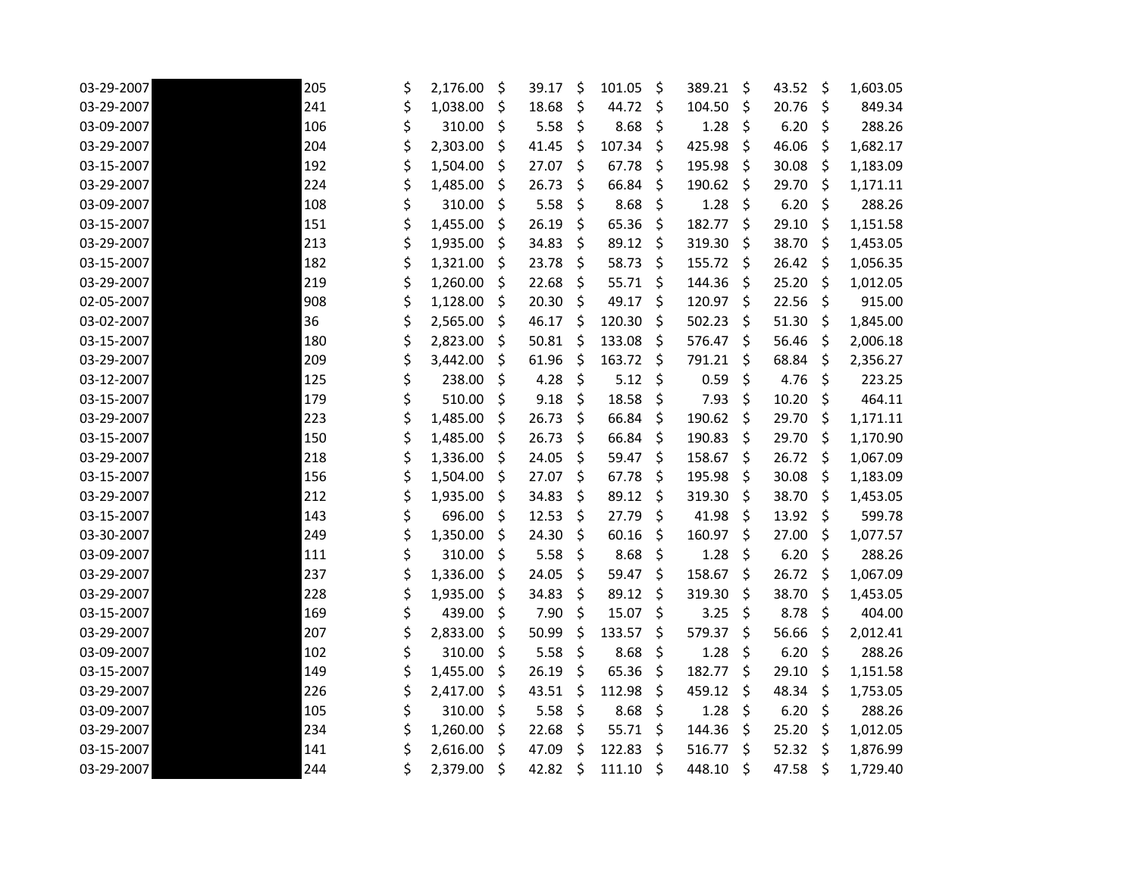| 03-29-2007 | 205 | \$ | 2,176.00 | \$ | 39.17 | \$<br>101.05 | \$<br>389.21 | \$      | 43.52 | \$<br>1,603.05 |
|------------|-----|----|----------|----|-------|--------------|--------------|---------|-------|----------------|
| 03-29-2007 | 241 | \$ | 1,038.00 | \$ | 18.68 | \$<br>44.72  | \$<br>104.50 | $\zeta$ | 20.76 | \$<br>849.34   |
| 03-09-2007 | 106 | \$ | 310.00   | \$ | 5.58  | \$<br>8.68   | \$<br>1.28   | $\zeta$ | 6.20  | \$<br>288.26   |
| 03-29-2007 | 204 | \$ | 2,303.00 | \$ | 41.45 | \$<br>107.34 | \$<br>425.98 | \$      | 46.06 | \$<br>1,682.17 |
| 03-15-2007 | 192 | \$ | 1,504.00 | S  | 27.07 | \$<br>67.78  | \$<br>195.98 | \$.     | 30.08 | \$<br>1,183.09 |
| 03-29-2007 | 224 | \$ | 1,485.00 | \$ | 26.73 | \$<br>66.84  | \$<br>190.62 | \$      | 29.70 | \$<br>1,171.11 |
| 03-09-2007 | 108 | \$ | 310.00   | \$ | 5.58  | \$<br>8.68   | \$<br>1.28   | $\zeta$ | 6.20  | \$<br>288.26   |
| 03-15-2007 | 151 | \$ | 1,455.00 | \$ | 26.19 | \$<br>65.36  | \$<br>182.77 | \$      | 29.10 | \$<br>1,151.58 |
| 03-29-2007 | 213 | \$ | 1,935.00 | \$ | 34.83 | \$<br>89.12  | \$<br>319.30 | \$.     | 38.70 | \$<br>1,453.05 |
| 03-15-2007 | 182 | \$ | 1,321.00 | \$ | 23.78 | \$<br>58.73  | \$<br>155.72 | \$      | 26.42 | \$<br>1,056.35 |
| 03-29-2007 | 219 | \$ | 1,260.00 | \$ | 22.68 | \$<br>55.71  | \$<br>144.36 | \$      | 25.20 | \$<br>1,012.05 |
| 02-05-2007 | 908 | \$ | 1,128.00 | \$ | 20.30 | \$<br>49.17  | \$<br>120.97 | \$      | 22.56 | \$<br>915.00   |
| 03-02-2007 | 36  | \$ | 2,565.00 | \$ | 46.17 | \$<br>120.30 | \$<br>502.23 | \$      | 51.30 | \$<br>1,845.00 |
| 03-15-2007 | 180 | \$ | 2,823.00 | \$ | 50.81 | \$<br>133.08 | \$<br>576.47 | \$      | 56.46 | \$<br>2,006.18 |
| 03-29-2007 | 209 | \$ | 3,442.00 | \$ | 61.96 | \$<br>163.72 | \$<br>791.21 | \$      | 68.84 | \$<br>2,356.27 |
| 03-12-2007 | 125 | \$ | 238.00   | \$ | 4.28  | \$<br>5.12   | \$<br>0.59   | \$      | 4.76  | \$<br>223.25   |
| 03-15-2007 | 179 | \$ | 510.00   | \$ | 9.18  | \$<br>18.58  | \$<br>7.93   | \$      | 10.20 | \$<br>464.11   |
| 03-29-2007 | 223 | \$ | 1,485.00 | \$ | 26.73 | \$<br>66.84  | \$<br>190.62 | \$      | 29.70 | \$<br>1,171.11 |
| 03-15-2007 | 150 | \$ | 1,485.00 | \$ | 26.73 | \$<br>66.84  | \$<br>190.83 | $\zeta$ | 29.70 | \$<br>1,170.90 |
| 03-29-2007 | 218 | \$ | 1,336.00 | \$ | 24.05 | \$<br>59.47  | \$<br>158.67 | Ŝ.      | 26.72 | \$<br>1,067.09 |
| 03-15-2007 | 156 | \$ | 1,504.00 | \$ | 27.07 | \$<br>67.78  | \$<br>195.98 | $\zeta$ | 30.08 | \$<br>1,183.09 |
| 03-29-2007 | 212 | \$ | 1,935.00 | \$ | 34.83 | \$<br>89.12  | \$<br>319.30 | $\zeta$ | 38.70 | \$<br>1,453.05 |
| 03-15-2007 | 143 | \$ | 696.00   | \$ | 12.53 | \$<br>27.79  | \$<br>41.98  | $\zeta$ | 13.92 | \$<br>599.78   |
| 03-30-2007 | 249 | \$ | 1,350.00 | \$ | 24.30 | \$<br>60.16  | \$<br>160.97 | $\zeta$ | 27.00 | \$<br>1,077.57 |
| 03-09-2007 | 111 | \$ | 310.00   | \$ | 5.58  | \$<br>8.68   | \$<br>1.28   | \$      | 6.20  | \$<br>288.26   |
| 03-29-2007 | 237 | \$ | 1,336.00 | \$ | 24.05 | \$<br>59.47  | \$<br>158.67 | \$      | 26.72 | \$<br>1,067.09 |
| 03-29-2007 | 228 | \$ | 1,935.00 | \$ | 34.83 | \$<br>89.12  | \$<br>319.30 | \$      | 38.70 | \$<br>1,453.05 |
| 03-15-2007 | 169 | \$ | 439.00   | \$ | 7.90  | \$<br>15.07  | \$<br>3.25   | \$.     | 8.78  | \$<br>404.00   |
| 03-29-2007 | 207 | \$ | 2,833.00 | \$ | 50.99 | \$<br>133.57 | \$<br>579.37 | \$.     | 56.66 | \$<br>2,012.41 |
| 03-09-2007 | 102 | \$ | 310.00   | \$ | 5.58  | \$<br>8.68   | \$<br>1.28   | \$      | 6.20  | \$<br>288.26   |
| 03-15-2007 | 149 | \$ | 1,455.00 | \$ | 26.19 | \$<br>65.36  | \$<br>182.77 | \$      | 29.10 | \$<br>1,151.58 |
| 03-29-2007 | 226 | \$ | 2,417.00 | \$ | 43.51 | \$<br>112.98 | \$<br>459.12 | -\$     | 48.34 | \$<br>1,753.05 |
| 03-09-2007 | 105 | \$ | 310.00   | \$ | 5.58  | \$<br>8.68   | \$<br>1.28   | \$      | 6.20  | \$<br>288.26   |
| 03-29-2007 | 234 | \$ | 1,260.00 | \$ | 22.68 | \$<br>55.71  | \$<br>144.36 | \$      | 25.20 | \$<br>1,012.05 |
| 03-15-2007 | 141 | \$ | 2,616.00 | \$ | 47.09 | \$<br>122.83 | \$<br>516.77 | \$      | 52.32 | \$<br>1,876.99 |
| 03-29-2007 | 244 | Ś. | 2,379.00 | \$ | 42.82 | \$<br>111.10 | \$<br>448.10 | \$      | 47.58 | \$<br>1,729.40 |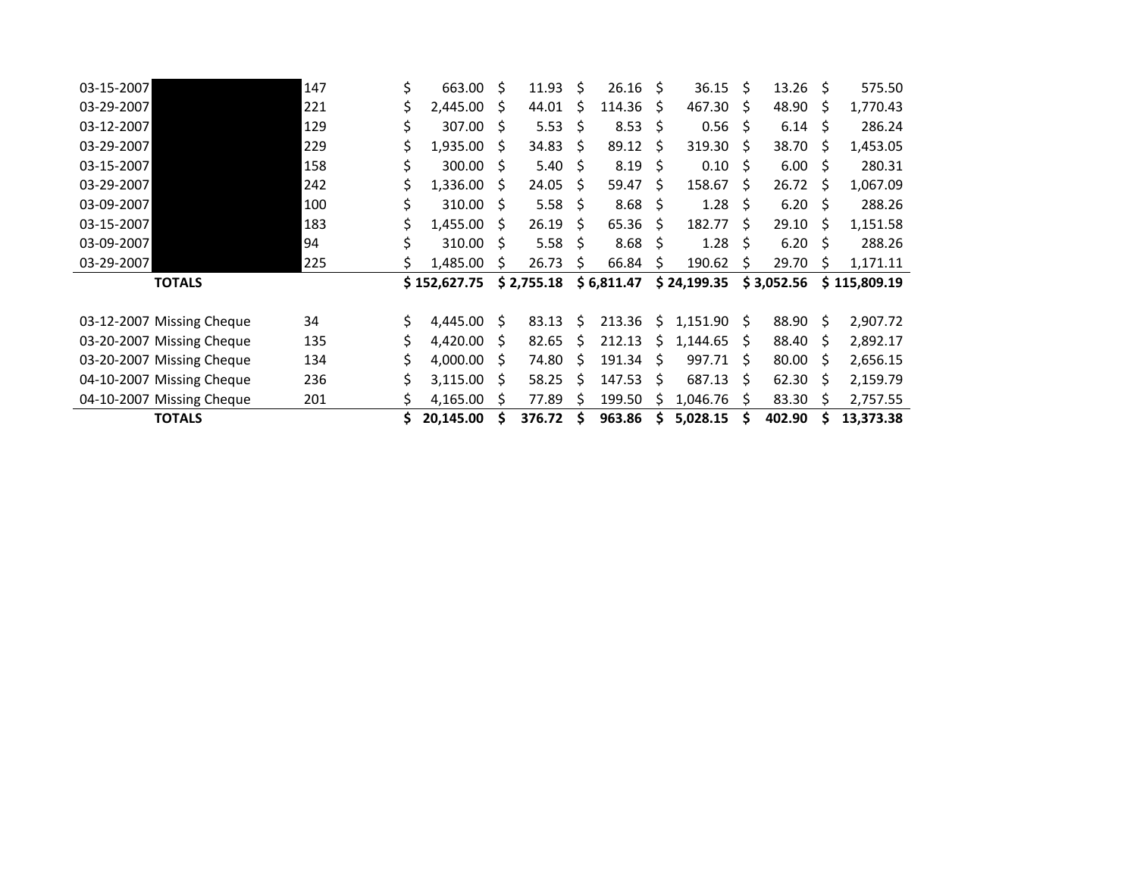| 03-15-2007                | 147 | \$ | 663.00       | Ŝ.           | 11.93      | Ŝ.           | 26.16      | - S          | 36.15               | - S          | 13.26      | Ŝ.           | 575.50       |
|---------------------------|-----|----|--------------|--------------|------------|--------------|------------|--------------|---------------------|--------------|------------|--------------|--------------|
| 03-29-2007                | 221 | \$ | 2,445.00     | S            | 44.01      | Ś            | 114.36     | <sup>S</sup> | $467.30\frac{1}{2}$ |              | 48.90      | Ŝ            | 1,770.43     |
| 03-12-2007                | 129 | \$ | 307.00       | S            | 5.53       | S            | 8.53       | - \$         | $0.56$ \$           |              | 6.14       | S            | 286.24       |
| 03-29-2007                | 229 | \$ | 1,935.00     | <sup>S</sup> | 34.83      | Ś            | 89.12      | Ŝ            | 319.30              | -Ŝ           | 38.70      | Ŝ            | 1,453.05     |
| 03-15-2007                | 158 | Ś. | 300.00       | S            | 5.40       | Ś            | 8.19       | Ŝ            | 0.10                | S            | 6.00       | S            | 280.31       |
| 03-29-2007                | 242 | \$ | 1,336.00     | <sup>S</sup> | 24.05      | S            | 59.47      | Š.           | 158.67              | <sup>S</sup> | 26.72      | <sup>S</sup> | 1,067.09     |
| 03-09-2007                | 100 | Ś. | 310.00       | S            | 5.58       | Ś            | 8.68       | Ŝ            | 1.28                | S            | 6.20       | Ŝ            | 288.26       |
| 03-15-2007                | 183 | Ś. | 1,455.00     | S            | 26.19      | <sup>S</sup> | 65.36      | S            | 182.77              | <sup>S</sup> | 29.10      | <sub>S</sub> | 1,151.58     |
| 03-09-2007                | 94  | Ś. | 310.00       | S.           | 5.58       | S            | 8.68       | Ŝ            | 1.28                | S            | 6.20       | S            | 288.26       |
|                           |     |    |              |              |            |              |            |              |                     |              |            |              |              |
| 03-29-2007                | 225 |    | 1,485.00     | S            | 26.73      | S            | 66.84      | \$           | 190.62              | \$           | 29.70      | S            | 1,171.11     |
| <b>TOTALS</b>             |     |    | \$152,627.75 |              | \$2,755.18 |              | \$6,811.47 |              | \$24,199.35         |              | \$3,052.56 |              | \$115,809.19 |
|                           |     |    |              |              |            |              |            |              |                     |              |            |              |              |
| 03-12-2007 Missing Cheque | 34  | \$ | 4,445.00     | \$           | 83.13      | Ś            | 213.36     | \$           | $1,151.90$ \$       |              | 88.90      | \$           | 2,907.72     |
| 03-20-2007 Missing Cheque | 135 | \$ | 4,420.00     | S            | 82.65      | S            | 212.13     | S.           | 1,144.65            | S            | 88.40      | S            | 2,892.17     |
| 03-20-2007 Missing Cheque | 134 |    | 4,000.00     | S            | 74.80      | Ś            | 191.34     | \$           | 997.71              | S.           | 80.00      | S            | 2,656.15     |
| 04-10-2007 Missing Cheque | 236 | Ś. | 3,115.00     | S            | 58.25      | Ś            | 147.53     | \$           | 687.13              | <sub>S</sub> | 62.30      | S            | 2,159.79     |
| 04-10-2007 Missing Cheque | 201 |    | 4,165.00     | S            | 77.89      | \$           | 199.50     | \$           | 1,046.76            | \$           | 83.30      | Ś            | 2,757.55     |

 $\overline{\phantom{a}}$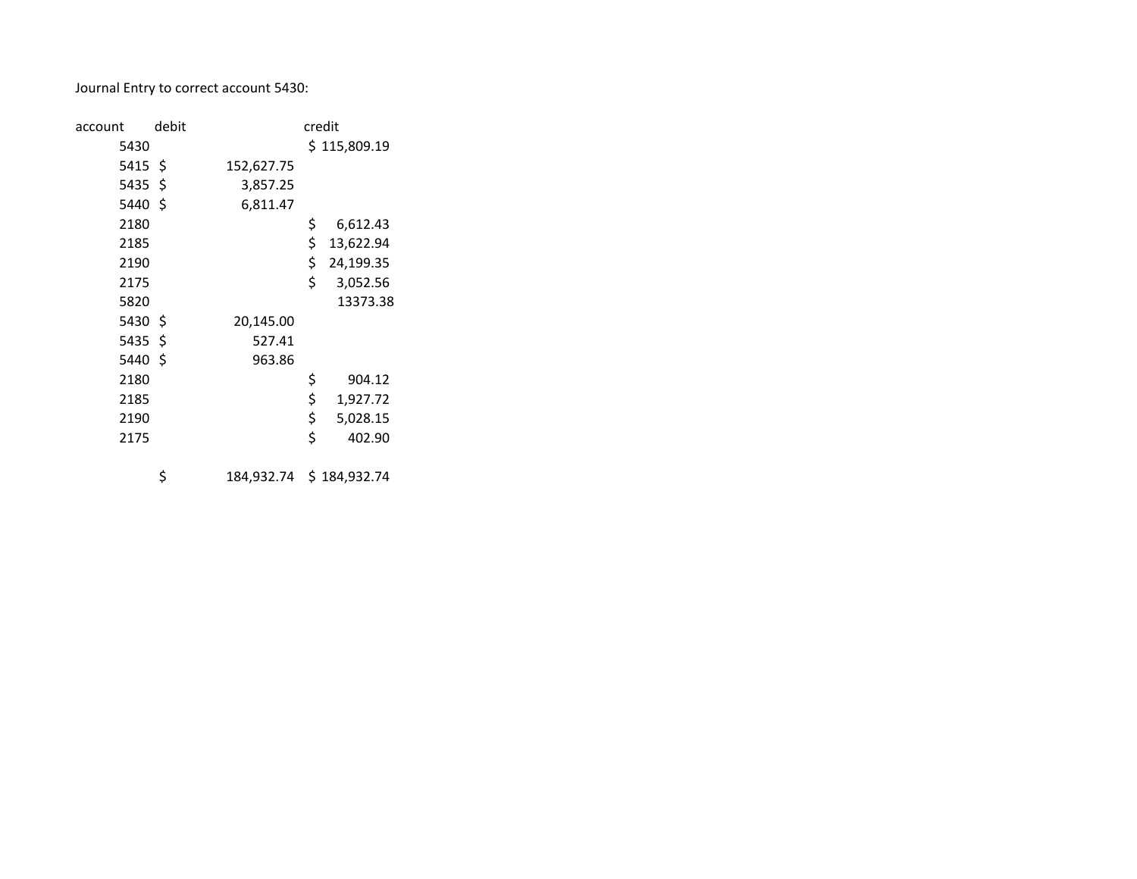Journal Entry to correct account 5430:

| account | debit |            | credit          |
|---------|-------|------------|-----------------|
| 5430    |       |            | \$115,809.19    |
| 5415 \$ |       | 152,627.75 |                 |
| 5435\$  |       | 3,857.25   |                 |
| 5440 \$ |       | 6,811.47   |                 |
| 2180    |       |            | \$<br>6,612.43  |
| 2185    |       |            | \$<br>13,622.94 |
| 2190    |       |            | \$<br>24,199.35 |
| 2175    |       |            | \$<br>3,052.56  |
| 5820    |       |            | 13373.38        |
| 5430 \$ |       | 20,145.00  |                 |
| 5435\$  |       | 527.41     |                 |
| 5440 \$ |       | 963.86     |                 |
| 2180    |       |            | \$<br>904.12    |
| 2185    |       |            | \$<br>1,927.72  |
| 2190    |       |            | \$<br>5,028.15  |
| 2175    |       |            | \$<br>402.90    |
|         |       |            |                 |

\$ 184,932.74 \$ 184,932.74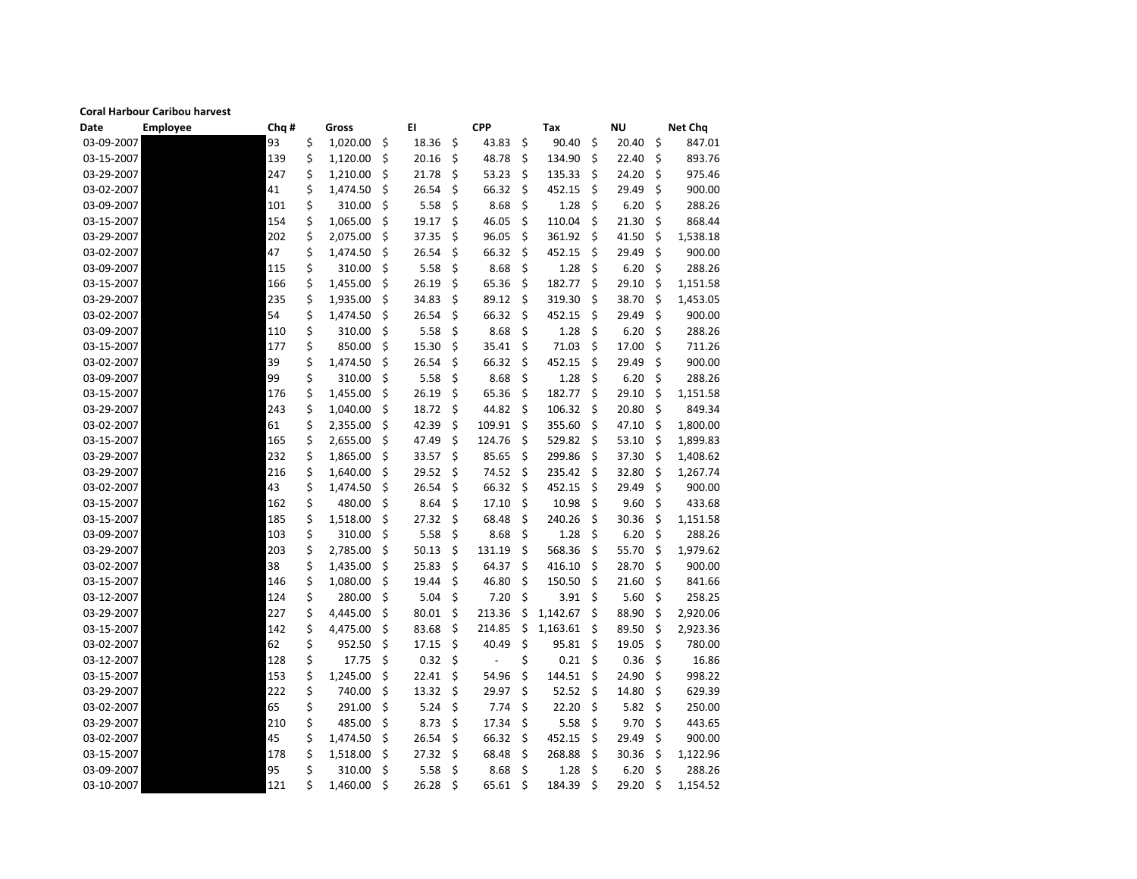## **Coral Harbour Caribou harvest**

| Date       | <b>Employee</b> | Chq # | Gross          |         | EI    |                    | <b>CPP</b>               | Tax            |     | <b>NU</b> |     | <b>Net Chq</b> |
|------------|-----------------|-------|----------------|---------|-------|--------------------|--------------------------|----------------|-----|-----------|-----|----------------|
| 03-09-2007 |                 | 93    | \$<br>1,020.00 | \$      | 18.36 | \$                 | 43.83                    | \$<br>90.40    | \$  | 20.40     | \$  | 847.01         |
| 03-15-2007 |                 | 139   | \$<br>1,120.00 | \$.     | 20.16 | \$                 | 48.78                    | \$<br>134.90   | \$  | 22.40     | \$  | 893.76         |
| 03-29-2007 |                 | 247   | \$<br>1,210.00 | \$      | 21.78 | \$                 | 53.23                    | \$<br>135.33   | S   | 24.20     | \$  | 975.46         |
| 03-02-2007 |                 | 41    | \$<br>1,474.50 | \$      | 26.54 | \$                 | 66.32                    | \$<br>452.15   | \$  | 29.49     | \$  | 900.00         |
| 03-09-2007 |                 | 101   | \$<br>310.00   | \$      | 5.58  | \$                 | 8.68                     | \$<br>1.28     | \$  | 6.20      | \$  | 288.26         |
| 03-15-2007 |                 | 154   | \$<br>1,065.00 | \$      | 19.17 | \$                 | 46.05                    | \$<br>110.04   | \$  | 21.30     | \$  | 868.44         |
| 03-29-2007 |                 | 202   | \$<br>2,075.00 | \$      | 37.35 | \$                 | 96.05                    | \$<br>361.92   | \$  | 41.50     | \$  | 1,538.18       |
| 03-02-2007 |                 | 47    | \$<br>1,474.50 | \$      | 26.54 | \$                 | 66.32                    | \$<br>452.15   | \$  | 29.49     | \$  | 900.00         |
| 03-09-2007 |                 | 115   | \$<br>310.00   | \$      | 5.58  | \$                 | 8.68                     | \$<br>1.28     | \$  | 6.20      | \$. | 288.26         |
| 03-15-2007 |                 | 166   | \$<br>1,455.00 | \$      | 26.19 | \$                 | 65.36                    | \$<br>182.77   | \$  | 29.10     | \$  | 1,151.58       |
| 03-29-2007 |                 | 235   | \$<br>1,935.00 | \$      | 34.83 | \$                 | 89.12                    | \$<br>319.30   | S   | 38.70     | \$  | 1,453.05       |
| 03-02-2007 |                 | 54    | \$<br>1,474.50 | \$      | 26.54 | \$                 | 66.32                    | \$<br>452.15   | \$  | 29.49     | \$  | 900.00         |
| 03-09-2007 |                 | 110   | \$<br>310.00   | \$      | 5.58  | \$                 | 8.68                     | \$<br>1.28     | \$  | 6.20      | \$  | 288.26         |
| 03-15-2007 |                 | 177   | \$<br>850.00   | \$      | 15.30 | \$                 | 35.41                    | \$<br>71.03    | \$  | 17.00     | \$  | 711.26         |
| 03-02-2007 |                 | 39    | \$<br>1,474.50 | \$      | 26.54 | \$                 | 66.32                    | \$<br>452.15   | \$  | 29.49     | \$  | 900.00         |
| 03-09-2007 |                 | 99    | \$<br>310.00   | \$      | 5.58  | \$                 | 8.68                     | \$<br>1.28     | \$  | 6.20      | \$  | 288.26         |
| 03-15-2007 |                 | 176   | \$<br>1,455.00 | \$      | 26.19 | \$                 | 65.36                    | \$<br>182.77   | \$  | 29.10     | \$  | 1,151.58       |
| 03-29-2007 |                 | 243   | \$<br>1,040.00 | \$      | 18.72 | \$                 | 44.82                    | \$<br>106.32   | \$. | 20.80     | \$  | 849.34         |
| 03-02-2007 |                 | 61    | \$<br>2,355.00 | \$      | 42.39 | \$                 | 109.91                   | \$<br>355.60   | \$  | 47.10     | \$  | 1,800.00       |
| 03-15-2007 |                 | 165   | \$<br>2,655.00 | \$      | 47.49 | \$                 | 124.76                   | \$<br>529.82   | \$  | 53.10     | \$  | 1,899.83       |
| 03-29-2007 |                 | 232   | \$<br>1,865.00 | \$      | 33.57 | \$                 | 85.65                    | \$<br>299.86   | \$  | 37.30     | \$. | 1,408.62       |
| 03-29-2007 |                 | 216   | \$<br>1,640.00 | \$.     | 29.52 | \$                 | 74.52                    | \$<br>235.42   | \$  | 32.80     | \$  | 1,267.74       |
| 03-02-2007 |                 | 43    | \$<br>1,474.50 | \$.     | 26.54 | \$                 | 66.32                    | \$<br>452.15   | \$  | 29.49     | \$  | 900.00         |
| 03-15-2007 |                 | 162   | \$<br>480.00   | \$      | 8.64  | \$                 | 17.10                    | \$<br>10.98    | \$  | 9.60      | \$  | 433.68         |
| 03-15-2007 |                 | 185   | \$<br>1,518.00 | \$      | 27.32 | \$                 | 68.48                    | \$<br>240.26   | \$  | 30.36     | \$  | 1,151.58       |
| 03-09-2007 |                 | 103   | \$<br>310.00   | \$      | 5.58  | \$                 | 8.68                     | \$<br>1.28     | \$  | 6.20      | \$  | 288.26         |
| 03-29-2007 |                 | 203   | \$<br>2,785.00 | \$      | 50.13 | \$                 | 131.19                   | \$<br>568.36   | \$  | 55.70     | \$  | 1,979.62       |
| 03-02-2007 |                 | 38    | \$<br>1,435.00 | \$      | 25.83 | \$                 | 64.37                    | \$<br>416.10   | \$  | 28.70     | \$  | 900.00         |
| 03-15-2007 |                 | 146   | \$<br>1,080.00 | \$      | 19.44 | \$                 | 46.80                    | \$<br>150.50   | \$  | 21.60     | \$  | 841.66         |
| 03-12-2007 |                 | 124   | \$<br>280.00   | \$      | 5.04  | \$                 | 7.20                     | \$<br>3.91     | \$  | 5.60      | \$  | 258.25         |
| 03-29-2007 |                 | 227   | \$<br>4,445.00 | \$      | 80.01 | \$                 | 213.36                   | \$<br>1,142.67 | \$  | 88.90     | \$  | 2,920.06       |
| 03-15-2007 |                 | 142   | \$<br>4,475.00 | \$      | 83.68 | \$                 | 214.85                   | \$<br>1,163.61 | \$  | 89.50     | \$  | 2,923.36       |
| 03-02-2007 |                 | 62    | \$<br>952.50   | \$      | 17.15 | \$                 | 40.49                    | \$<br>95.81    | \$  | 19.05     | \$  | 780.00         |
| 03-12-2007 |                 | 128   | \$<br>17.75    | \$      | 0.32  | \$                 | $\overline{\phantom{a}}$ | \$<br>0.21     | \$  | 0.36      | \$  | 16.86          |
| 03-15-2007 |                 | 153   | \$<br>1,245.00 | \$      | 22.41 | \$                 | 54.96                    | \$<br>144.51   | \$  | 24.90     | \$  | 998.22         |
| 03-29-2007 |                 | 222   | \$<br>740.00   | \$      | 13.32 | \$                 | 29.97                    | \$<br>52.52    | \$  | 14.80     | \$. | 629.39         |
| 03-02-2007 |                 | 65    | \$<br>291.00   | \$      | 5.24  | \$                 | 7.74                     | \$<br>22.20    | \$  | 5.82      | \$  | 250.00         |
| 03-29-2007 |                 | 210   | \$<br>485.00   | \$      | 8.73  | \$                 | 17.34                    | \$<br>5.58     | \$  | 9.70      | \$  | 443.65         |
| 03-02-2007 |                 | 45    | \$<br>1,474.50 | \$      | 26.54 | \$                 | 66.32                    | \$<br>452.15   | \$  | 29.49     | \$  | 900.00         |
| 03-15-2007 |                 | 178   | \$<br>1,518.00 | \$      | 27.32 | \$                 | 68.48                    | \$<br>268.88   | \$  | 30.36     | \$. | 1,122.96       |
| 03-09-2007 |                 | 95    | \$<br>310.00   | $\zeta$ | 5.58  | $\ddot{\varsigma}$ | 8.68                     | \$<br>1.28     | \$  | 6.20      | \$  | 288.26         |
| 03-10-2007 |                 | 121   | \$<br>1,460.00 | \$      | 26.28 | \$                 | 65.61                    | \$<br>184.39   | \$  | 29.20     | \$  | 1,154.52       |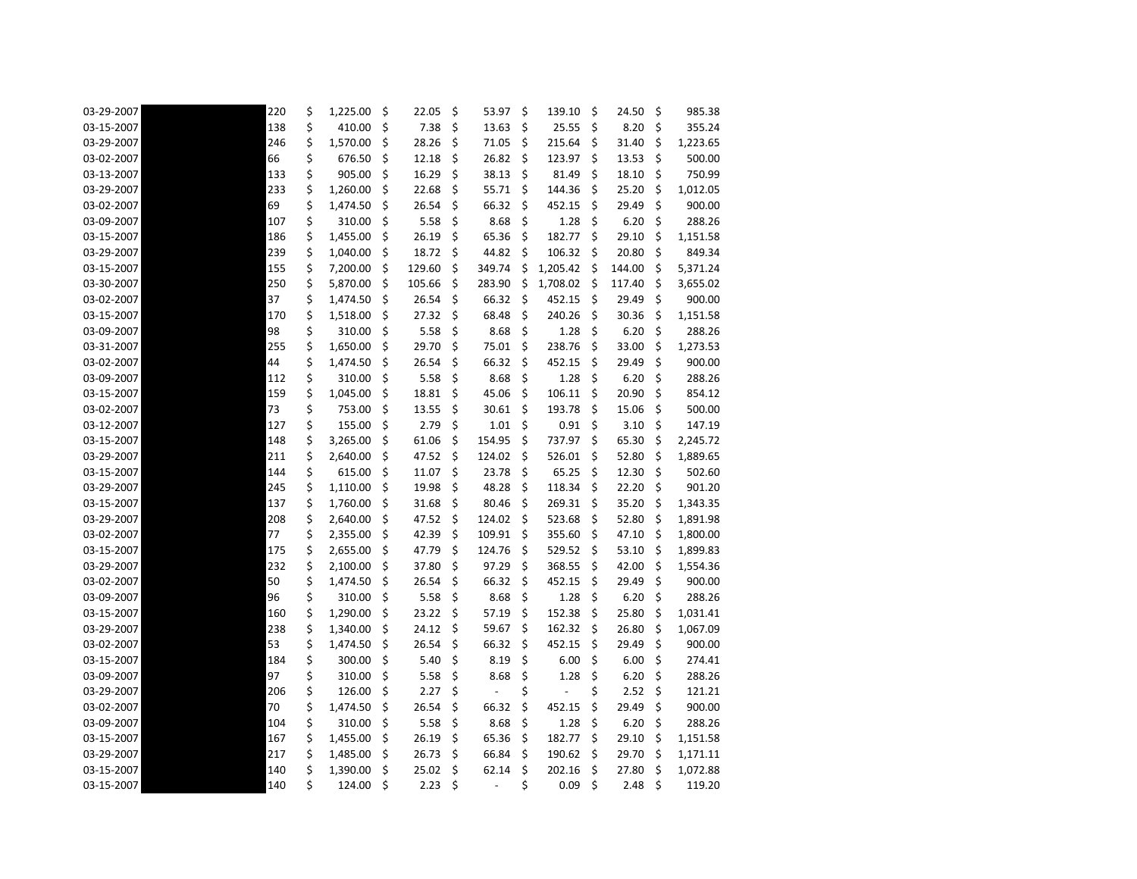| 03-29-2007 | 220 | \$<br>1,225.00 | \$ | 22.05  | \$<br>53.97                    | \$          | 139.10   | \$      | 24.50  | \$                  | 985.38   |
|------------|-----|----------------|----|--------|--------------------------------|-------------|----------|---------|--------|---------------------|----------|
| 03-15-2007 | 138 | \$<br>410.00   | \$ | 7.38   | \$<br>13.63                    | \$          | 25.55    | \$      | 8.20   | \$                  | 355.24   |
| 03-29-2007 | 246 | \$<br>1,570.00 | \$ | 28.26  | \$<br>71.05                    | \$          | 215.64   | \$      | 31.40  | \$                  | 1,223.65 |
| 03-02-2007 | 66  | \$<br>676.50   | \$ | 12.18  | \$<br>26.82                    | \$          | 123.97   | \$      | 13.53  | \$                  | 500.00   |
| 03-13-2007 | 133 | \$<br>905.00   | \$ | 16.29  | \$<br>38.13                    | \$          | 81.49    | $\zeta$ | 18.10  | \$                  | 750.99   |
| 03-29-2007 | 233 | \$<br>1,260.00 | \$ | 22.68  | \$<br>55.71                    | \$          | 144.36   | \$      | 25.20  | \$                  | 1,012.05 |
| 03-02-2007 | 69  | \$<br>1,474.50 | \$ | 26.54  | \$<br>66.32                    | \$          | 452.15   | $\zeta$ | 29.49  | \$                  | 900.00   |
| 03-09-2007 | 107 | \$<br>310.00   | \$ | 5.58   | \$<br>8.68                     | \$          | 1.28     | \$      | 6.20   | \$                  | 288.26   |
| 03-15-2007 | 186 | \$<br>1,455.00 | \$ | 26.19  | \$<br>65.36                    | \$          | 182.77   | \$      | 29.10  | \$                  | 1,151.58 |
| 03-29-2007 | 239 | \$<br>1,040.00 | S  | 18.72  | \$<br>44.82                    | S           | 106.32   | \$      | 20.80  | \$                  | 849.34   |
| 03-15-2007 | 155 | \$<br>7,200.00 | \$ | 129.60 | \$<br>349.74                   | \$          | 1,205.42 | \$.     | 144.00 | \$                  | 5,371.24 |
| 03-30-2007 | 250 | \$<br>5,870.00 | \$ | 105.66 | \$<br>283.90                   | \$          | 1,708.02 | \$      | 117.40 | \$                  | 3,655.02 |
| 03-02-2007 | 37  | \$<br>1,474.50 | \$ | 26.54  | \$<br>66.32                    | \$          | 452.15   | \$      | 29.49  | \$                  | 900.00   |
| 03-15-2007 | 170 | \$<br>1,518.00 | \$ | 27.32  | \$<br>68.48                    | \$          | 240.26   | \$      | 30.36  | \$                  | 1,151.58 |
| 03-09-2007 | 98  | \$<br>310.00   | \$ | 5.58   | \$<br>8.68                     | \$          | 1.28     | \$      | 6.20   | \$                  | 288.26   |
| 03-31-2007 | 255 | \$<br>1,650.00 | Ś  | 29.70  | \$<br>75.01                    | \$          | 238.76   | \$      | 33.00  | \$                  | 1,273.53 |
| 03-02-2007 | 44  | \$<br>1,474.50 | \$ | 26.54  | \$<br>66.32                    | \$          | 452.15   | \$      | 29.49  | \$                  | 900.00   |
| 03-09-2007 | 112 | \$<br>310.00   | \$ | 5.58   | \$<br>8.68                     | \$          | 1.28     | \$      | 6.20   | \$                  | 288.26   |
| 03-15-2007 | 159 | \$<br>1,045.00 | \$ | 18.81  | \$<br>45.06                    | \$          | 106.11   | \$      | 20.90  | \$                  | 854.12   |
| 03-02-2007 | 73  | \$<br>753.00   | \$ | 13.55  | \$<br>30.61                    | \$          | 193.78   | \$      | 15.06  | \$                  | 500.00   |
| 03-12-2007 | 127 | \$<br>155.00   | \$ | 2.79   | \$<br>1.01                     | \$          | 0.91     | \$      | 3.10   | \$                  | 147.19   |
| 03-15-2007 | 148 | \$<br>3,265.00 | \$ | 61.06  | \$<br>154.95                   | \$          | 737.97   | \$      | 65.30  | \$                  | 2,245.72 |
| 03-29-2007 | 211 | \$<br>2,640.00 | \$ | 47.52  | \$<br>124.02                   | \$          | 526.01   | \$      | 52.80  | \$                  | 1,889.65 |
| 03-15-2007 | 144 | \$<br>615.00   | \$ | 11.07  | \$<br>23.78                    | \$          | 65.25    | \$      | 12.30  | \$                  | 502.60   |
| 03-29-2007 | 245 | \$<br>1,110.00 | \$ | 19.98  | \$<br>48.28                    | \$          | 118.34   | \$      | 22.20  | \$                  | 901.20   |
| 03-15-2007 | 137 | \$<br>1,760.00 | \$ | 31.68  | \$<br>80.46                    | \$          | 269.31   | \$      | 35.20  | \$                  | 1,343.35 |
| 03-29-2007 | 208 | \$<br>2,640.00 | \$ | 47.52  | \$<br>124.02                   | \$          | 523.68   | \$      | 52.80  | \$                  | 1,891.98 |
| 03-02-2007 | 77  | \$<br>2,355.00 | \$ | 42.39  | \$<br>109.91                   | \$          | 355.60   | \$      | 47.10  | \$                  | 1,800.00 |
| 03-15-2007 | 175 | \$<br>2,655.00 | \$ | 47.79  | \$<br>124.76                   | \$          | 529.52   | \$      | 53.10  | \$                  | 1,899.83 |
| 03-29-2007 | 232 | \$<br>2,100.00 | \$ | 37.80  | \$<br>97.29                    | \$.         | 368.55   | \$      | 42.00  | \$                  | 1,554.36 |
| 03-02-2007 | 50  | \$<br>1,474.50 | \$ | 26.54  | \$<br>66.32                    | \$          | 452.15   | \$      | 29.49  | \$                  | 900.00   |
| 03-09-2007 | 96  | \$<br>310.00   | \$ | 5.58   | \$<br>8.68                     | \$          | 1.28     | \$      | 6.20   | $\ddot{\bm{\zeta}}$ | 288.26   |
| 03-15-2007 | 160 | \$<br>1,290.00 | \$ | 23.22  | \$<br>57.19                    | $\varsigma$ | 152.38   | \$      | 25.80  | $\zeta$             | 1,031.41 |
| 03-29-2007 | 238 | \$<br>1,340.00 | \$ | 24.12  | \$<br>59.67                    | \$          | 162.32   | \$      | 26.80  | \$.                 | 1,067.09 |
| 03-02-2007 | 53  | \$<br>1,474.50 | \$ | 26.54  | \$<br>66.32                    | \$          | 452.15   | \$      | 29.49  | \$                  | 900.00   |
| 03-15-2007 | 184 | \$<br>300.00   | \$ | 5.40   | \$<br>8.19                     | \$          | 6.00     | \$      | 6.00   | \$                  | 274.41   |
| 03-09-2007 | 97  | \$<br>310.00   | \$ | 5.58   | \$<br>8.68                     | \$          | 1.28     | \$      | 6.20   | \$                  | 288.26   |
| 03-29-2007 | 206 | \$<br>126.00   | \$ | 2.27   | \$                             | \$          |          | \$      | 2.52   | \$                  | 121.21   |
| 03-02-2007 | 70  | \$<br>1,474.50 | \$ | 26.54  | \$<br>66.32                    | \$          | 452.15   | \$      | 29.49  | \$                  | 900.00   |
| 03-09-2007 | 104 | \$<br>310.00   | \$ | 5.58   | \$<br>8.68                     | $\zeta$     | 1.28     | $\zeta$ | 6.20   | $\zeta$             | 288.26   |
| 03-15-2007 | 167 | \$<br>1,455.00 | \$ | 26.19  | \$<br>65.36                    | \$          | 182.77   | \$      | 29.10  | \$.                 | 1,151.58 |
| 03-29-2007 | 217 | \$<br>1,485.00 | \$ | 26.73  | \$<br>66.84                    | \$          | 190.62   | $\zeta$ | 29.70  | \$                  | 1,171.11 |
| 03-15-2007 | 140 | \$<br>1,390.00 | \$ | 25.02  | \$<br>62.14                    | \$          | 202.16   | \$      | 27.80  | \$                  | 1,072.88 |
| 03-15-2007 | 140 | \$<br>124.00   | \$ | 2.23   | \$<br>$\overline{\phantom{a}}$ | \$          | 0.09     | \$      | 2.48   | \$                  | 119.20   |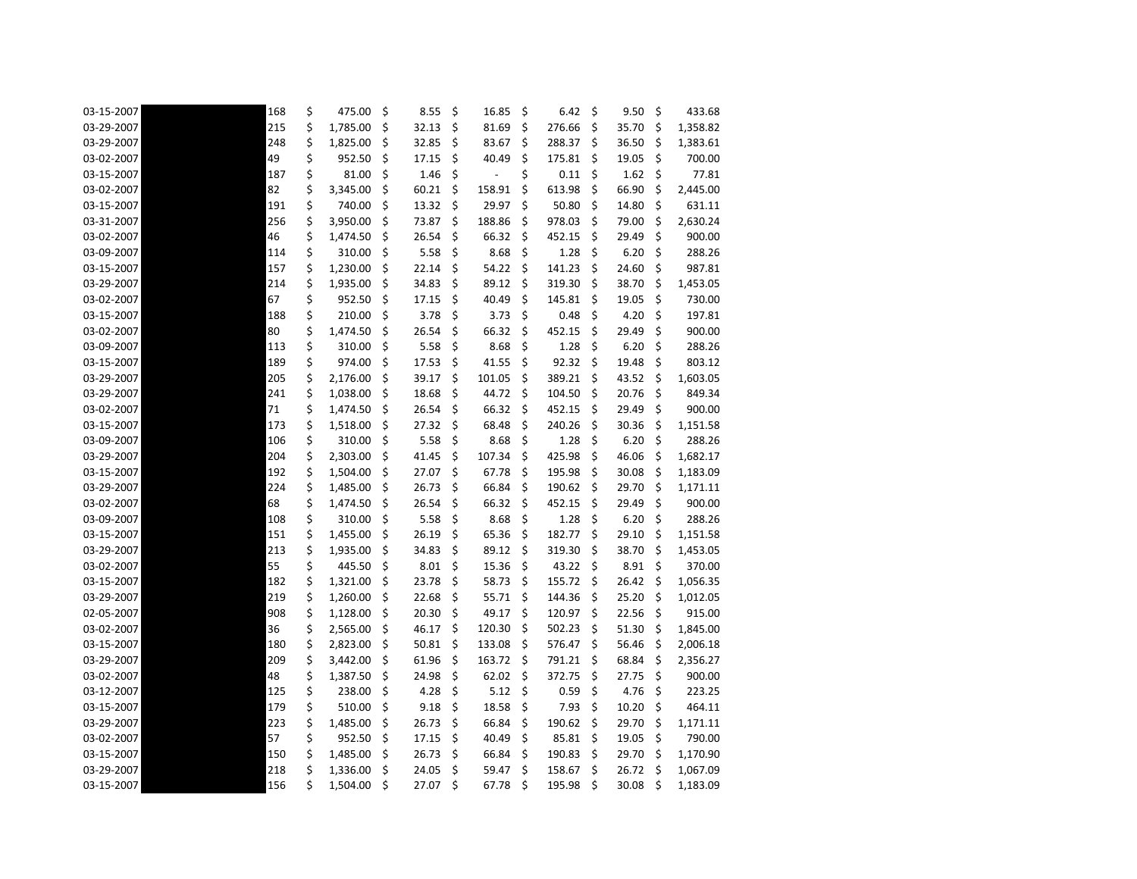| 03-15-2007 | 168 | \$<br>475.00   | \$  | 8.55  | \$      | 16.85  | \$      | 6.42   | \$  | 9.50  | \$ | 433.68   |
|------------|-----|----------------|-----|-------|---------|--------|---------|--------|-----|-------|----|----------|
| 03-29-2007 | 215 | \$<br>1,785.00 | \$  | 32.13 | \$      | 81.69  | \$.     | 276.66 | \$  | 35.70 | \$ | 1,358.82 |
| 03-29-2007 | 248 | \$<br>1,825.00 | \$  | 32.85 | \$      | 83.67  | \$      | 288.37 | S   | 36.50 | \$ | 1,383.61 |
| 03-02-2007 | 49  | \$<br>952.50   | \$  | 17.15 | \$      | 40.49  | \$      | 175.81 | \$  | 19.05 | \$ | 700.00   |
| 03-15-2007 | 187 | \$<br>81.00    | \$  | 1.46  | \$      |        | \$      | 0.11   | \$  | 1.62  | \$ | 77.81    |
| 03-02-2007 | 82  | \$<br>3,345.00 | \$  | 60.21 | \$      | 158.91 | \$      | 613.98 | \$  | 66.90 | \$ | 2,445.00 |
| 03-15-2007 | 191 | \$<br>740.00   | \$  | 13.32 | \$      | 29.97  | \$      | 50.80  | \$  | 14.80 | \$ | 631.11   |
| 03-31-2007 | 256 | \$<br>3,950.00 | \$  | 73.87 | \$      | 188.86 | \$      | 978.03 | \$  | 79.00 | \$ | 2,630.24 |
| 03-02-2007 | 46  | \$<br>1,474.50 | \$  | 26.54 | \$      | 66.32  | \$      | 452.15 | \$  | 29.49 | \$ | 900.00   |
| 03-09-2007 | 114 | \$<br>310.00   | \$  | 5.58  | \$      | 8.68   | \$      | 1.28   | \$  | 6.20  | \$ | 288.26   |
| 03-15-2007 | 157 | \$<br>1,230.00 | \$  | 22.14 | \$      | 54.22  | \$      | 141.23 | \$  | 24.60 | \$ | 987.81   |
| 03-29-2007 | 214 | \$<br>1,935.00 | \$  | 34.83 | \$      | 89.12  | $\zeta$ | 319.30 | \$  | 38.70 | \$ | 1,453.05 |
| 03-02-2007 | 67  | \$<br>952.50   | \$  | 17.15 | \$      | 40.49  | \$      | 145.81 | \$  | 19.05 | \$ | 730.00   |
| 03-15-2007 | 188 | \$<br>210.00   | \$  | 3.78  | \$      | 3.73   | \$      | 0.48   | \$  | 4.20  | \$ | 197.81   |
| 03-02-2007 | 80  | \$<br>1,474.50 | \$  | 26.54 | \$      | 66.32  | \$      | 452.15 | \$  | 29.49 | \$ | 900.00   |
| 03-09-2007 | 113 | \$<br>310.00   | \$  | 5.58  | \$      | 8.68   | \$      | 1.28   | \$  | 6.20  | \$ | 288.26   |
| 03-15-2007 | 189 | \$<br>974.00   | \$  | 17.53 | \$      | 41.55  | \$      | 92.32  | \$  | 19.48 | \$ | 803.12   |
| 03-29-2007 | 205 | \$<br>2,176.00 | \$  | 39.17 | \$      | 101.05 | \$      | 389.21 | \$  | 43.52 | \$ | 1,603.05 |
| 03-29-2007 | 241 | \$<br>1,038.00 | \$  | 18.68 | \$      | 44.72  | \$      | 104.50 | \$  | 20.76 | \$ | 849.34   |
| 03-02-2007 | 71  | \$<br>1,474.50 | \$  | 26.54 | \$      | 66.32  | \$      | 452.15 | \$  | 29.49 | \$ | 900.00   |
| 03-15-2007 | 173 | \$<br>1,518.00 | \$  | 27.32 | \$      | 68.48  | \$      | 240.26 | \$  | 30.36 | \$ | 1,151.58 |
| 03-09-2007 | 106 | \$<br>310.00   | \$  | 5.58  | \$      | 8.68   | \$      | 1.28   | \$  | 6.20  | \$ | 288.26   |
| 03-29-2007 | 204 | \$<br>2,303.00 | \$  | 41.45 | \$      | 107.34 | \$      | 425.98 | \$  | 46.06 | \$ | 1,682.17 |
| 03-15-2007 | 192 | \$<br>1,504.00 | \$  | 27.07 | \$      | 67.78  | \$      | 195.98 | \$  | 30.08 | \$ | 1,183.09 |
| 03-29-2007 | 224 | \$<br>1,485.00 | \$  | 26.73 | \$      | 66.84  | \$      | 190.62 | \$  | 29.70 | \$ | 1,171.11 |
| 03-02-2007 | 68  | \$<br>1,474.50 | \$  | 26.54 | \$      | 66.32  | $\zeta$ | 452.15 | \$  | 29.49 | \$ | 900.00   |
| 03-09-2007 | 108 | \$<br>310.00   | \$  | 5.58  | \$      | 8.68   | \$      | 1.28   | \$  | 6.20  | \$ | 288.26   |
| 03-15-2007 | 151 | \$<br>1,455.00 | \$  | 26.19 | \$      | 65.36  | \$      | 182.77 | \$  | 29.10 | \$ | 1,151.58 |
| 03-29-2007 | 213 | \$<br>1,935.00 | \$  | 34.83 | \$      | 89.12  | \$.     | 319.30 | \$  | 38.70 | \$ | 1,453.05 |
| 03-02-2007 | 55  | \$<br>445.50   | \$  | 8.01  | \$      | 15.36  | \$      | 43.22  | \$. | 8.91  | \$ | 370.00   |
| 03-15-2007 | 182 | \$<br>1,321.00 | \$  | 23.78 | \$      | 58.73  | \$      | 155.72 | \$  | 26.42 | \$ | 1,056.35 |
| 03-29-2007 | 219 | \$<br>1,260.00 | \$  | 22.68 | \$      | 55.71  | \$      | 144.36 | \$  | 25.20 | \$ | 1,012.05 |
| 02-05-2007 | 908 | \$<br>1,128.00 | \$  | 20.30 | $\zeta$ | 49.17  | $\zeta$ | 120.97 | \$  | 22.56 | \$ | 915.00   |
| 03-02-2007 | 36  | \$<br>2,565.00 | \$  | 46.17 | \$      | 120.30 | \$      | 502.23 | \$  | 51.30 | \$ | 1,845.00 |
| 03-15-2007 | 180 | \$<br>2,823.00 | \$  | 50.81 | \$      | 133.08 | \$      | 576.47 | \$  | 56.46 | \$ | 2,006.18 |
| 03-29-2007 | 209 | \$<br>3,442.00 | \$  | 61.96 | \$      | 163.72 | \$      | 791.21 | \$. | 68.84 | Ş  | 2,356.27 |
| 03-02-2007 | 48  | \$<br>1,387.50 | \$  | 24.98 | \$      | 62.02  | \$      | 372.75 | \$  | 27.75 | \$ | 900.00   |
| 03-12-2007 | 125 | \$<br>238.00   | \$  | 4.28  | \$      | 5.12   | $\zeta$ | 0.59   | \$  | 4.76  | \$ | 223.25   |
| 03-15-2007 | 179 | \$<br>510.00   | \$  | 9.18  | \$      | 18.58  | \$      | 7.93   | \$  | 10.20 | \$ | 464.11   |
| 03-29-2007 | 223 | \$<br>1,485.00 | \$  | 26.73 | -\$     | 66.84  | \$      | 190.62 | \$  | 29.70 | Ş  | 1,171.11 |
| 03-02-2007 | 57  | \$<br>952.50   | \$  | 17.15 | \$      | 40.49  | \$      | 85.81  | \$  | 19.05 | Ş  | 790.00   |
| 03-15-2007 | 150 | \$<br>1,485.00 | -\$ | 26.73 | \$      | 66.84  | \$      | 190.83 | \$  | 29.70 | \$ | 1,170.90 |
| 03-29-2007 | 218 | \$<br>1,336.00 | \$  | 24.05 | \$      | 59.47  | \$      | 158.67 | \$  | 26.72 | \$ | 1,067.09 |
| 03-15-2007 | 156 | \$<br>1,504.00 | \$  | 27.07 | $\zeta$ | 67.78  | $\zeta$ | 195.98 | \$  | 30.08 | \$ | 1,183.09 |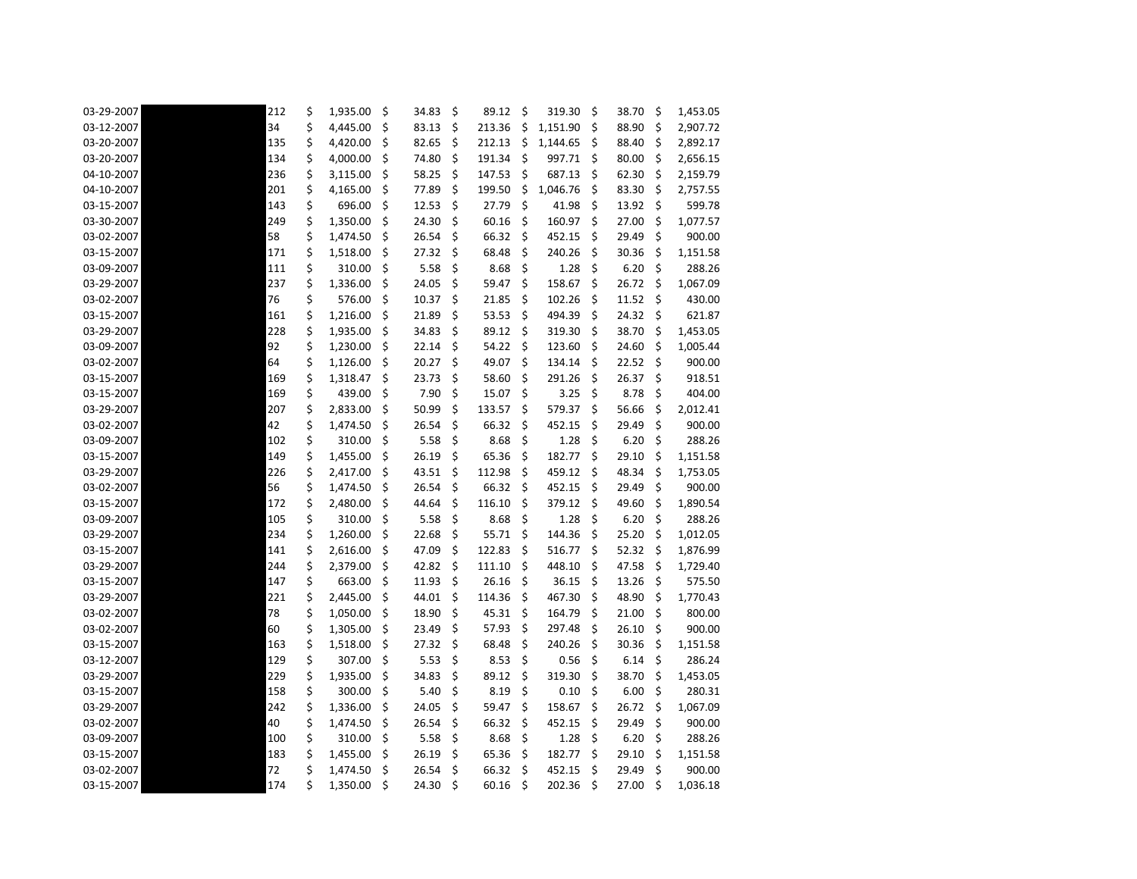| 03-29-2007 | 212 | \$<br>1,935.00 | \$  | 34.83 | \$<br>89.12  | \$      | 319.30   | \$      | 38.70 | \$  | 1,453.05 |
|------------|-----|----------------|-----|-------|--------------|---------|----------|---------|-------|-----|----------|
| 03-12-2007 | 34  | \$<br>4,445.00 | \$  | 83.13 | \$<br>213.36 | \$      | 1,151.90 | \$      | 88.90 | \$  | 2,907.72 |
| 03-20-2007 | 135 | \$<br>4,420.00 | \$  | 82.65 | \$<br>212.13 | \$      | 1,144.65 | \$.     | 88.40 | \$  | 2,892.17 |
| 03-20-2007 | 134 | \$<br>4,000.00 | \$  | 74.80 | \$<br>191.34 | \$      | 997.71   | \$      | 80.00 | \$  | 2,656.15 |
| 04-10-2007 | 236 | \$<br>3,115.00 | \$  | 58.25 | \$<br>147.53 | \$      | 687.13   | \$      | 62.30 | \$  | 2,159.79 |
| 04-10-2007 | 201 | \$<br>4,165.00 | \$  | 77.89 | \$<br>199.50 | \$      | 1,046.76 | \$      | 83.30 | S   | 2,757.55 |
| 03-15-2007 | 143 | \$<br>696.00   | \$. | 12.53 | \$<br>27.79  | $\zeta$ | 41.98    | $\zeta$ | 13.92 | \$  | 599.78   |
| 03-30-2007 | 249 | \$<br>1,350.00 | \$  | 24.30 | \$<br>60.16  | \$      | 160.97   | \$      | 27.00 | \$  | 1,077.57 |
| 03-02-2007 | 58  | \$<br>1,474.50 | \$  | 26.54 | \$<br>66.32  | \$      | 452.15   | \$      | 29.49 | \$  | 900.00   |
| 03-15-2007 | 171 | \$<br>1,518.00 | \$  | 27.32 | \$<br>68.48  | \$      | 240.26   | \$      | 30.36 | \$  | 1,151.58 |
| 03-09-2007 | 111 | \$<br>310.00   | \$  | 5.58  | \$<br>8.68   | \$      | 1.28     | \$      | 6.20  | \$  | 288.26   |
| 03-29-2007 | 237 | \$<br>1,336.00 | \$  | 24.05 | \$<br>59.47  | \$      | 158.67   | $\zeta$ | 26.72 | \$  | 1,067.09 |
| 03-02-2007 | 76  | \$<br>576.00   | \$  | 10.37 | \$<br>21.85  | \$      | 102.26   | \$      | 11.52 | \$  | 430.00   |
| 03-15-2007 | 161 | \$<br>1,216.00 | \$  | 21.89 | \$<br>53.53  | \$      | 494.39   | \$      | 24.32 | \$. | 621.87   |
| 03-29-2007 | 228 | \$<br>1,935.00 | \$  | 34.83 | \$<br>89.12  | \$      | 319.30   | \$      | 38.70 | \$  | 1,453.05 |
| 03-09-2007 | 92  | \$<br>1,230.00 | \$  | 22.14 | \$<br>54.22  | \$      | 123.60   | \$      | 24.60 | \$  | 1,005.44 |
| 03-02-2007 | 64  | \$<br>1,126.00 | \$  | 20.27 | \$<br>49.07  | \$      | 134.14   | \$.     | 22.52 | \$  | 900.00   |
| 03-15-2007 | 169 | \$<br>1,318.47 | \$  | 23.73 | \$<br>58.60  | \$      | 291.26   | \$      | 26.37 | \$  | 918.51   |
| 03-15-2007 | 169 | \$<br>439.00   | \$  | 7.90  | \$<br>15.07  | \$      | 3.25     | $\zeta$ | 8.78  | \$  | 404.00   |
| 03-29-2007 | 207 | \$<br>2,833.00 | \$  | 50.99 | \$<br>133.57 | \$      | 579.37   | \$      | 56.66 | \$  | 2,012.41 |
| 03-02-2007 | 42  | \$<br>1,474.50 | \$  | 26.54 | \$<br>66.32  | \$      | 452.15   | \$      | 29.49 | \$  | 900.00   |
| 03-09-2007 | 102 | \$<br>310.00   | \$  | 5.58  | \$<br>8.68   | \$      | 1.28     | \$      | 6.20  | \$  | 288.26   |
| 03-15-2007 | 149 | \$<br>1,455.00 | \$  | 26.19 | \$<br>65.36  | \$      | 182.77   | Ŝ.      | 29.10 | \$  | 1,151.58 |
| 03-29-2007 | 226 | \$<br>2,417.00 | \$  | 43.51 | \$<br>112.98 | \$      | 459.12   | \$      | 48.34 | \$  | 1,753.05 |
| 03-02-2007 | 56  | \$<br>1,474.50 | \$  | 26.54 | \$<br>66.32  | \$      | 452.15   | \$      | 29.49 | \$  | 900.00   |
| 03-15-2007 | 172 | \$<br>2,480.00 | \$  | 44.64 | \$<br>116.10 | \$      | 379.12   | $\zeta$ | 49.60 | \$  | 1,890.54 |
| 03-09-2007 | 105 | \$<br>310.00   | \$  | 5.58  | \$<br>8.68   | \$      | 1.28     | \$      | 6.20  | \$  | 288.26   |
| 03-29-2007 | 234 | \$<br>1,260.00 | \$  | 22.68 | \$<br>55.71  | \$      | 144.36   | \$      | 25.20 | \$  | 1,012.05 |
| 03-15-2007 | 141 | \$<br>2,616.00 | \$  | 47.09 | \$<br>122.83 | \$      | 516.77   | \$      | 52.32 | \$. | 1,876.99 |
| 03-29-2007 | 244 | \$<br>2,379.00 | \$  | 42.82 | \$<br>111.10 | \$      | 448.10   | \$      | 47.58 | \$  | 1,729.40 |
| 03-15-2007 | 147 | \$<br>663.00   | \$  | 11.93 | \$<br>26.16  | \$      | 36.15    | \$      | 13.26 | \$  | 575.50   |
| 03-29-2007 | 221 | \$<br>2,445.00 | \$  | 44.01 | \$<br>114.36 | \$      | 467.30   | \$      | 48.90 | \$  | 1,770.43 |
| 03-02-2007 | 78  | \$<br>1,050.00 | \$  | 18.90 | \$<br>45.31  | $\zeta$ | 164.79   | $\zeta$ | 21.00 | \$  | 800.00   |
| 03-02-2007 | 60  | \$<br>1,305.00 | \$  | 23.49 | \$<br>57.93  | $\zeta$ | 297.48   | \$      | 26.10 | \$  | 900.00   |
| 03-15-2007 | 163 | \$<br>1,518.00 | \$  | 27.32 | \$<br>68.48  | \$      | 240.26   | \$      | 30.36 | \$  | 1,151.58 |
| 03-12-2007 | 129 | \$<br>307.00   | \$  | 5.53  | \$<br>8.53   | \$      | 0.56     | \$      | 6.14  | \$  | 286.24   |
| 03-29-2007 | 229 | \$<br>1,935.00 | \$  | 34.83 | \$<br>89.12  | \$      | 319.30   | \$      | 38.70 | \$  | 1,453.05 |
| 03-15-2007 | 158 | \$<br>300.00   | \$  | 5.40  | \$<br>8.19   | $\zeta$ | 0.10     | $\zeta$ | 6.00  | \$  | 280.31   |
| 03-29-2007 | 242 | \$<br>1,336.00 | \$  | 24.05 | \$<br>59.47  | \$      | 158.67   | \$      | 26.72 | \$  | 1,067.09 |
| 03-02-2007 | 40  | \$<br>1,474.50 | \$  | 26.54 | \$<br>66.32  | $\zeta$ | 452.15   | \$      | 29.49 | \$  | 900.00   |
| 03-09-2007 | 100 | \$<br>310.00   | \$  | 5.58  | \$<br>8.68   | \$      | 1.28     | \$      | 6.20  | \$  | 288.26   |
| 03-15-2007 | 183 | \$<br>1,455.00 | \$. | 26.19 | \$<br>65.36  | \$      | 182.77   | \$      | 29.10 | \$  | 1,151.58 |
| 03-02-2007 | 72  | \$<br>1,474.50 | \$  | 26.54 | \$<br>66.32  | $\zeta$ | 452.15   | $\zeta$ | 29.49 | \$  | 900.00   |
| 03-15-2007 | 174 | \$<br>1,350.00 | \$  | 24.30 | \$<br>60.16  | \$      | 202.36   | $\zeta$ | 27.00 | \$  | 1,036.18 |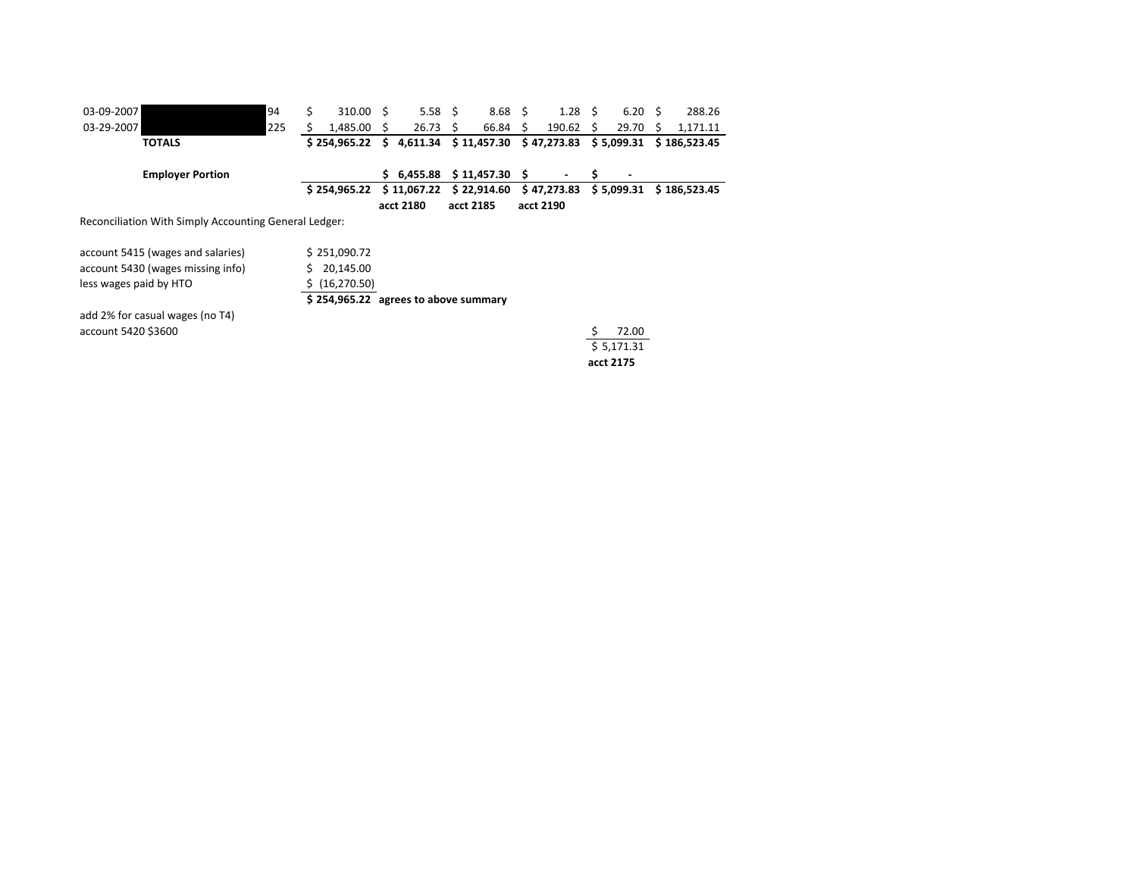| 03-09-2007                                            | 94  | Ś. | $310.00 \quad $$                      |    | $5.58 \quad $$ |    | $8.68 \quad $$ |   | $1.28 \quad$ \$ |    | $6.20 \quad$ \$ |    | 288.26       |
|-------------------------------------------------------|-----|----|---------------------------------------|----|----------------|----|----------------|---|-----------------|----|-----------------|----|--------------|
| 03-29-2007                                            | 225 |    | 1,485.00                              | S. | 26.73          | S. | 66.84 \$       |   | 190.62          | S. | 29.70           | -S | 1,171.11     |
| <b>TOTALS</b>                                         |     |    | \$254,965.22                          | \$ | 4,611.34       |    | \$11,457.30    |   | \$47,273.83     |    | \$ 5,099.31     |    | \$186,523.45 |
| <b>Employer Portion</b>                               |     |    |                                       |    | \$6,455.88     |    | \$11,457.30    | S |                 | S  |                 |    |              |
|                                                       |     |    | \$254,965.22                          |    | \$11,067.22    |    | \$22,914.60    |   | \$47,273.83     |    | \$5,099.31      |    | \$186,523.45 |
|                                                       |     |    |                                       |    | acct 2180      |    | acct 2185      |   | acct 2190       |    |                 |    |              |
| Reconciliation With Simply Accounting General Ledger: |     |    |                                       |    |                |    |                |   |                 |    |                 |    |              |
| account 5415 (wages and salaries)                     |     |    | \$251,090.72                          |    |                |    |                |   |                 |    |                 |    |              |
| account 5430 (wages missing info)                     |     |    | 20,145.00                             |    |                |    |                |   |                 |    |                 |    |              |
| less wages paid by HTO                                |     |    | (16, 270.50)                          |    |                |    |                |   |                 |    |                 |    |              |
|                                                       |     |    | $$254,965.22$ agrees to above summary |    |                |    |                |   |                 |    |                 |    |              |
| add 2% for casual wages (no T4)                       |     |    |                                       |    |                |    |                |   |                 |    |                 |    |              |
| account 5420 \$3600                                   |     |    |                                       |    |                |    |                |   |                 |    | 72.00           |    |              |
|                                                       |     |    |                                       |    |                |    |                |   |                 |    | \$5,171.31      |    |              |

**acct 2175**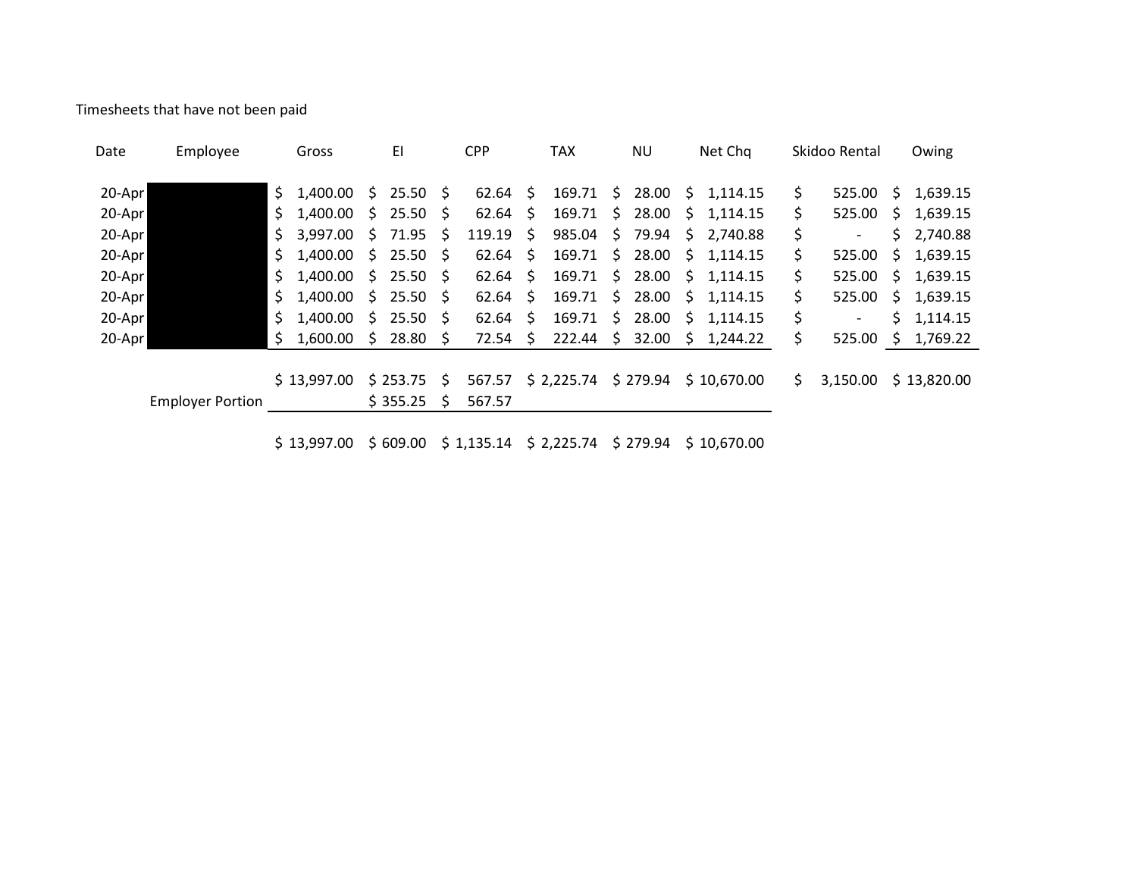Timesheets that have not been paid

| Date   | Employee                |     | Gross       |                     | EI                 |                     | <b>CPP</b>      |         | TAX        |                     | <b>NU</b> |                     | Net Chq              |     | Skidoo Rental |    | Owing       |
|--------|-------------------------|-----|-------------|---------------------|--------------------|---------------------|-----------------|---------|------------|---------------------|-----------|---------------------|----------------------|-----|---------------|----|-------------|
| 20-Apr |                         |     | \$1,400.00  |                     | \$25.50\$          |                     | $62.64 \quad $$ |         | 169.71     | S.                  | 28.00     | S.                  | 1.114.15             | S.  | 525.00        | S. | 1,639.15    |
| 20-Apr |                         | \$. | 1,400.00    |                     | \$25.50\$          |                     | 62.64           | - \$    | 169.71     | $\mathsf{S}$        | 28.00     | $\ddot{\mathsf{S}}$ | 1,114.15             | \$  | 525.00        | S. | 1,639.15    |
| 20-Apr |                         |     | \$3,997.00  | \$                  | 71.95              | Ŝ.                  | 119.19          | \$      | 985.04     |                     | \$79.94   | \$                  | 2,740.88             | \$  |               | Ś. | 2,740.88    |
| 20-Apr |                         |     | \$1,400.00  |                     | \$25.50\$          |                     | 62.64           | - \$    | 169.71     | $\ddot{\mathsf{S}}$ | 28.00     | - S                 | 1.114.15             | \$. | 525.00        | S. | 1,639.15    |
| 20-Apr |                         |     | \$1,400.00  |                     | \$25.50\$          |                     | 62.64           | $\zeta$ | 169.71     | S.                  | 28.00     | -\$                 | 1,114.15             | \$. | 525.00        | S. | 1,639.15    |
| 20-Apr |                         | S.  | 1,400.00    |                     | \$25.50\$          |                     | 62.64           | - \$    | 169.71     | S.                  | 28.00     | \$                  | 1,114.15             | \$  | 525.00        | S. | 1,639.15    |
| 20-Apr |                         |     | \$1,400.00  | $\ddot{\mathsf{S}}$ | $25.50\frac{2}{3}$ |                     | 62.64           | S.      | 169.71     | \$.                 | 28.00     | \$.                 | 1.114.15             | \$  |               | Ś. | 1,114.15    |
| 20-Apr |                         |     | \$1,600.00  | $\ddot{\mathsf{s}}$ | $28.80\frac{1}{2}$ |                     | 72.54           | \$      | 222.44     | \$.                 | 32.00     | -\$                 | 1,244.22             | \$  | $525.00$ \$   |    | 1,769.22    |
|        |                         |     |             |                     |                    |                     |                 |         |            |                     |           |                     |                      |     |               |    |             |
|        |                         |     | \$13,997.00 |                     | \$253.75           | $\ddot{\mathsf{S}}$ | 567.57          |         | \$2,225.74 |                     |           |                     | \$279.94 \$10,670.00 | S.  | 3,150.00      |    | \$13,820.00 |
|        | <b>Employer Portion</b> |     |             |                     | \$355.25           | S                   | 567.57          |         |            |                     |           |                     |                      |     |               |    |             |
|        |                         |     |             |                     |                    |                     |                 |         |            |                     |           |                     |                      |     |               |    |             |

\$ 13,997.00 \$ 609.00 \$ 1,135.14 \$ 2,225.74 \$ 279.94 \$ 10,670.00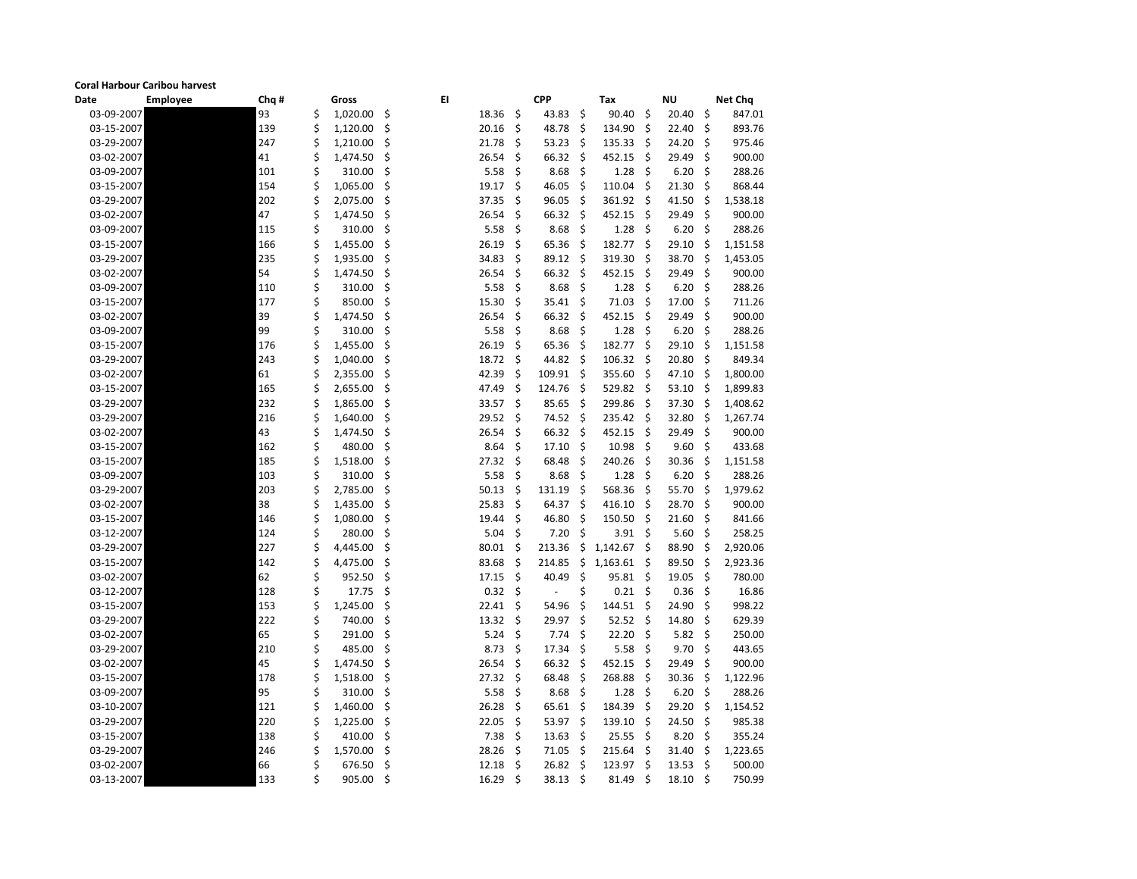## **Coral Harbour Caribou harvest**

| <b>Date</b> | <b>Employee</b> | Chq # |    | <b>Gross</b> |    | EI    |     | <b>CPP</b> |     | Tax        |     | <b>NU</b>    |         | <b>Net Chq</b> |
|-------------|-----------------|-------|----|--------------|----|-------|-----|------------|-----|------------|-----|--------------|---------|----------------|
| 03-09-2007  |                 | 93    | \$ | 1,020.00     | \$ | 18.36 | \$  | 43.83      | \$  | 90.40      | \$  | 20.40        | \$      | 847.01         |
| 03-15-2007  |                 | 139   | \$ | 1,120.00     | \$ | 20.16 | \$  | 48.78      | \$  | 134.90     | \$  | 22.40        | \$      | 893.76         |
| 03-29-2007  |                 | 247   | \$ | 1,210.00     | \$ | 21.78 | \$  | 53.23      | \$. | 135.33     | \$. | 24.20        | \$      | 975.46         |
| 03-02-2007  |                 | 41    | \$ | 1,474.50     | \$ | 26.54 | \$  | 66.32      | \$  | 452.15     | \$. | 29.49        | \$      | 900.00         |
| 03-09-2007  |                 | 101   | \$ | 310.00       | \$ | 5.58  | \$  | 8.68       | \$  | 1.28       | \$  | 6.20         | \$      | 288.26         |
| 03-15-2007  |                 | 154   | \$ | 1,065.00     | \$ | 19.17 | \$  | 46.05      | \$  | 110.04     | \$  | 21.30        | \$      | 868.44         |
| 03-29-2007  |                 | 202   | \$ | 2,075.00     | \$ | 37.35 | \$  | 96.05      | \$  | 361.92     | \$. | 41.50        | \$      | 1,538.18       |
| 03-02-2007  |                 | 47    | \$ | 1,474.50     | \$ | 26.54 | \$  | 66.32      | \$  | 452.15     | \$  | 29.49        | \$      | 900.00         |
| 03-09-2007  |                 | 115   | \$ | 310.00       | \$ | 5.58  | \$  | 8.68       | \$  | 1.28       | \$  | 6.20         | \$      | 288.26         |
| 03-15-2007  |                 | 166   | Ś  | 1,455.00     | \$ | 26.19 | \$  | 65.36      | \$  | 182.77     | \$  | 29.10        | \$      | 1,151.58       |
| 03-29-2007  |                 | 235   | \$ | 1,935.00     | \$ | 34.83 | \$  | 89.12      | \$  | 319.30     | \$. | 38.70        | \$      | 1,453.05       |
| 03-02-2007  |                 | 54    | \$ | 1,474.50     | \$ | 26.54 | \$  | 66.32      | \$  | 452.15     | \$  | 29.49        | \$      | 900.00         |
| 03-09-2007  |                 | 110   | \$ | 310.00       | \$ | 5.58  | \$  | 8.68       | \$  | 1.28       | \$  | 6.20         | \$      | 288.26         |
| 03-15-2007  |                 | 177   |    | 850.00       | \$ | 15.30 | \$  | 35.41      | \$. | 71.03      | Š.  | 17.00        | \$      | 711.26         |
| 03-02-2007  |                 | 39    | \$ | 1,474.50     | \$ | 26.54 | \$  | 66.32      | \$  | 452.15     | .S  | 29.49        | \$      | 900.00         |
| 03-09-2007  |                 | 99    |    | 310.00       | \$ | 5.58  | \$  | 8.68       | \$  | 1.28       | \$. | 6.20         | \$      | 288.26         |
| 03-15-2007  |                 | 176   | \$ | 1,455.00     | \$ | 26.19 | \$  | 65.36      | \$  | 182.77     | \$  | 29.10        | \$      | 1,151.58       |
| 03-29-2007  |                 | 243   |    | 1,040.00     | \$ | 18.72 | \$  | 44.82      | \$  | 106.32     | .S  | 20.80        | \$      | 849.34         |
| 03-02-2007  |                 | 61    |    | 2,355.00     | \$ | 42.39 | \$  | 109.91     | \$  | 355.60     | \$. | 47.10        | \$      | 1,800.00       |
| 03-15-2007  |                 | 165   |    | 2,655.00     | \$ | 47.49 | \$  | 124.76     | \$  | 529.82     | \$. | 53.10        | \$      | 1,899.83       |
| 03-29-2007  |                 | 232   | Ś  | 1,865.00     | \$ | 33.57 | \$  | 85.65      | \$  | 299.86     | \$  | 37.30        | Ŝ       | 1,408.62       |
| 03-29-2007  |                 | 216   | \$ | 1,640.00     | \$ | 29.52 | \$  | 74.52      | \$. | 235.42     | \$. | 32.80        | \$      | 1,267.74       |
| 03-02-2007  |                 | 43    | \$ | 1,474.50     | \$ | 26.54 | \$  | 66.32      | \$  | 452.15     | \$  | 29.49        | \$      | 900.00         |
| 03-15-2007  |                 | 162   | \$ | 480.00       | \$ | 8.64  | \$  | 17.10      | \$  | 10.98      | \$  | 9.60         | \$      | 433.68         |
| 03-15-2007  |                 | 185   | \$ | 1,518.00     | \$ | 27.32 | \$  | 68.48      | \$  | 240.26     | \$. | 30.36        | \$      | 1,151.58       |
| 03-09-2007  |                 | 103   | \$ | 310.00       | \$ | 5.58  | \$  | 8.68       | \$  | 1.28       | \$. | 6.20         | \$      | 288.26         |
| 03-29-2007  |                 | 203   |    | 2,785.00     | \$ | 50.13 | \$  | 131.19     | \$  | 568.36     | \$  | 55.70        | \$      | 1,979.62       |
| 03-02-2007  |                 | 38    | \$ | 1,435.00     | \$ | 25.83 | \$  | 64.37      | \$  | 416.10     | \$. | 28.70        | \$      | 900.00         |
| 03-15-2007  |                 | 146   |    | 1,080.00     | \$ | 19.44 | \$  | 46.80      | \$  | 150.50     | Š.  | 21.60        | \$      | 841.66         |
| 03-12-2007  |                 | 124   |    | 280.00       |    | 5.04  | \$  | 7.20       | \$  | 3.91       | \$  | 5.60         | \$      | 258.25         |
| 03-29-2007  |                 | 227   | \$ | 4,445.00     | \$ | 80.01 | \$  | 213.36     |     | \$1,142.67 | \$  | 88.90        | - \$    | 2,920.06       |
| 03-15-2007  |                 | 142   | \$ | 4,475.00     | \$ | 83.68 | -\$ | 214.85     | \$  | 1,163.61   | \$. | 89.50        | \$      | 2,923.36       |
| 03-02-2007  |                 | 62    | \$ | 952.50       | \$ | 17.15 | -\$ | 40.49      | \$  | 95.81      | -S  | 19.05        | $\zeta$ | 780.00         |
| 03-12-2007  |                 | 128   | \$ | 17.75        | \$ | 0.32  | \$  |            | \$  | 0.21       | -Ş  | 0.36         | $\zeta$ | 16.86          |
| 03-15-2007  |                 | 153   |    | 1,245.00     | \$ | 22.41 | \$  | 54.96      | \$  | 144.51     | .S  | 24.90        | \$      | 998.22         |
| 03-29-2007  |                 | 222   | \$ | 740.00       | \$ | 13.32 | -S  | 29.97      | \$. | 52.52      | -S  | 14.80        | \$      | 629.39         |
| 03-02-2007  |                 | 65    | \$ | 291.00       | \$ | 5.24  | -\$ | 7.74       | -Ş  | 22.20      | S   | 5.82         | \$      | 250.00         |
| 03-29-2007  |                 | 210   |    | 485.00       | \$ | 8.73  | \$  | 17.34      | \$  | 5.58       | \$. | 9.70         | \$      | 443.65         |
| 03-02-2007  |                 | 45    |    | 1,474.50     | S  | 26.54 | -\$ | 66.32      | -Ş  | 452.15     | S   | 29.49        | \$      | 900.00         |
| 03-15-2007  |                 | 178   |    | 1,518.00     | \$ | 27.32 | -\$ | 68.48      | \$. | 268.88     | -S  | 30.36        | S       | 1,122.96       |
| 03-09-2007  |                 | 95    | \$ | 310.00       | \$ | 5.58  | -\$ | 8.68       | -\$ | 1.28       | -S  | 6.20         | \$      | 288.26         |
| 03-10-2007  |                 | 121   |    | 1,460.00     | \$ | 26.28 | \$  | 65.61      | -Ş  | 184.39     | -S  | 29.20        | \$      | 1,154.52       |
| 03-29-2007  |                 | 220   |    | 1,225.00     | S  | 22.05 | \$  | 53.97      | \$. | 139.10     | S   | 24.50        | \$      | 985.38         |
| 03-15-2007  |                 | 138   | \$ | 410.00       | Ś  | 7.38  | -\$ | 13.63      | -Ş  | 25.55      | -S  | 8.20         | -S      | 355.24         |
| 03-29-2007  |                 | 246   |    | 1,570.00     | S  | 28.26 | -S  | 71.05      | -S  | 215.64     | -S  | 31.40        | S       | 1,223.65       |
| 03-02-2007  |                 | 66    |    | 676.50       | \$ | 12.18 | -\$ | 26.82      | \$. | 123.97     | S   | 13.53        | -\$     | 500.00         |
| 03-13-2007  |                 | 133   | \$ | 905.00       | \$ | 16.29 | -\$ | 38.13      | \$  | 81.49      | -Ş  | $18.10 \div$ |         | 750.99         |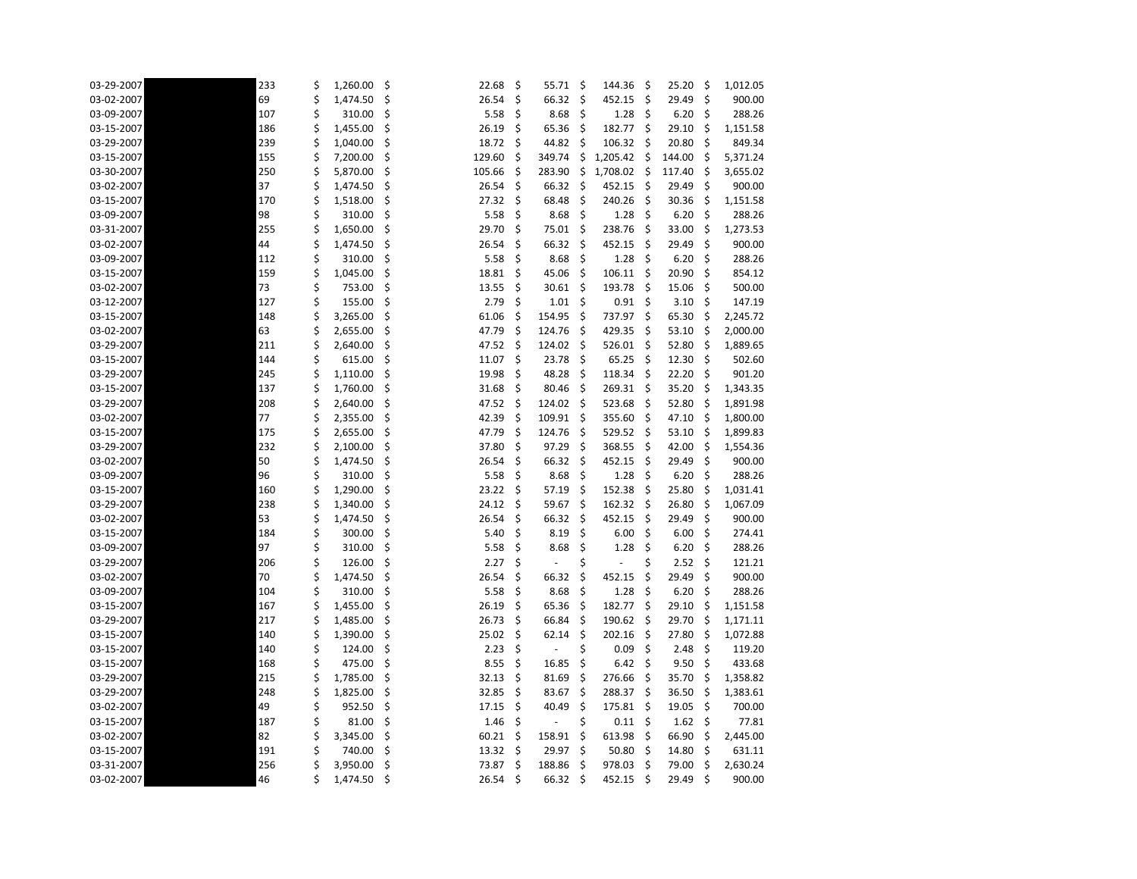| 03-29-2007 | 233 | \$<br>1,260.00 | \$ | 22.68  | \$  | 55.71                    | \$ | 144.36   | \$  | 25.20  | \$   | 1,012.05 |
|------------|-----|----------------|----|--------|-----|--------------------------|----|----------|-----|--------|------|----------|
| 03-02-2007 | 69  | \$<br>1,474.50 | \$ | 26.54  | \$  | 66.32                    | \$ | 452.15   | S.  | 29.49  | \$   | 900.00   |
| 03-09-2007 | 107 | \$<br>310.00   | \$ | 5.58   | \$  | 8.68                     | \$ | 1.28     | -\$ | 6.20   | \$   | 288.26   |
| 03-15-2007 | 186 | 1,455.00       | \$ | 26.19  | \$  | 65.36                    | \$ | 182.77   | \$  | 29.10  | \$   | 1,151.58 |
| 03-29-2007 | 239 | 1,040.00       | \$ | 18.72  | \$  | 44.82                    | \$ | 106.32   | -\$ | 20.80  | \$   | 849.34   |
| 03-15-2007 | 155 | \$<br>7,200.00 | \$ | 129.60 | \$  | 349.74                   | \$ | 1,205.42 | -S  | 144.00 | \$   | 5,371.24 |
| 03-30-2007 | 250 | 5,870.00       | \$ | 105.66 | \$  | 283.90                   | \$ | 1,708.02 | \$  | 117.40 | \$   | 3,655.02 |
| 03-02-2007 | 37  | \$<br>1,474.50 | \$ | 26.54  | \$  | 66.32                    | \$ | 452.15   | \$  | 29.49  | \$   | 900.00   |
| 03-15-2007 | 170 | \$<br>1,518.00 | \$ | 27.32  | \$  | 68.48                    | \$ | 240.26   | \$  | 30.36  | \$   | 1,151.58 |
| 03-09-2007 | 98  | 310.00         | \$ | 5.58   | \$  | 8.68                     | \$ | 1.28     | -\$ | 6.20   | \$   | 288.26   |
| 03-31-2007 | 255 | \$<br>1,650.00 | \$ | 29.70  | \$  | 75.01                    | \$ | 238.76   | \$  | 33.00  | \$   | 1,273.53 |
| 03-02-2007 | 44  | 1,474.50       | \$ | 26.54  | \$  | 66.32                    | \$ | 452.15   | Ŝ.  | 29.49  | \$   | 900.00   |
| 03-09-2007 | 112 | 310.00         | \$ | 5.58   | \$  | 8.68                     | \$ | 1.28     | \$  | 6.20   | \$   | 288.26   |
| 03-15-2007 | 159 | \$<br>1,045.00 | \$ | 18.81  | \$  | 45.06                    | \$ | 106.11   | \$  | 20.90  | \$   | 854.12   |
| 03-02-2007 | 73  | 753.00         | \$ | 13.55  | \$  | 30.61                    | \$ | 193.78   | \$  | 15.06  | \$   | 500.00   |
| 03-12-2007 | 127 | 155.00         | \$ | 2.79   | \$  | 1.01                     | \$ | 0.91     | \$  | 3.10   | \$   | 147.19   |
| 03-15-2007 | 148 | \$<br>3,265.00 | \$ | 61.06  | \$  | 154.95                   | \$ | 737.97   | Ŝ.  | 65.30  | -\$  | 2,245.72 |
| 03-02-2007 | 63  | 2,655.00       | \$ | 47.79  | \$  | 124.76                   | \$ | 429.35   | -S  | 53.10  | \$   | 2,000.00 |
| 03-29-2007 | 211 | \$<br>2,640.00 | \$ | 47.52  | \$  | 124.02                   | \$ | 526.01   | -\$ | 52.80  | \$   | 1,889.65 |
| 03-15-2007 | 144 | 615.00         | \$ | 11.07  | \$  | 23.78                    | \$ | 65.25    | Ŝ.  | 12.30  | \$   | 502.60   |
| 03-29-2007 | 245 | \$<br>1,110.00 | \$ | 19.98  | \$  | 48.28                    | \$ | 118.34   | -\$ | 22.20  | \$   | 901.20   |
| 03-15-2007 | 137 | \$<br>1,760.00 | \$ | 31.68  | \$  | 80.46                    | \$ | 269.31   | -\$ | 35.20  | -\$  | 1,343.35 |
| 03-29-2007 | 208 | 2,640.00       | \$ | 47.52  | \$  | 124.02                   | \$ | 523.68   | Ŝ.  | 52.80  | -\$  | 1,891.98 |
| 03-02-2007 | 77  | 2,355.00       | \$ | 42.39  | \$  | 109.91                   | \$ | 355.60   | -\$ | 47.10  | \$   | 1,800.00 |
| 03-15-2007 | 175 | \$<br>2,655.00 | \$ | 47.79  | \$  | 124.76                   | \$ | 529.52   | -\$ | 53.10  | -\$  | 1,899.83 |
| 03-29-2007 | 232 | \$<br>2,100.00 | \$ | 37.80  | \$  | 97.29                    | \$ | 368.55   | \$. | 42.00  | \$   | 1,554.36 |
| 03-02-2007 | 50  | 1,474.50       | \$ | 26.54  | \$  | 66.32                    | \$ | 452.15   | -\$ | 29.49  | \$   | 900.00   |
| 03-09-2007 | 96  | \$<br>310.00   | \$ | 5.58   | \$  | 8.68                     | \$ | 1.28     | \$  | 6.20   | \$   | 288.26   |
| 03-15-2007 | 160 | 1,290.00       | \$ | 23.22  | \$  | 57.19                    | \$ | 152.38   | \$  | 25.80  | \$   | 1,031.41 |
| 03-29-2007 | 238 | \$<br>1,340.00 | \$ | 24.12  | \$  | 59.67                    | \$ | 162.32   | -\$ | 26.80  | \$   | 1,067.09 |
| 03-02-2007 | 53  | 1,474.50       | \$ | 26.54  | \$  | 66.32                    | \$ | 452.15   | Ŝ.  | 29.49  | \$   | 900.00   |
| 03-15-2007 | 184 | 300.00         |    | 5.40   | \$  | 8.19                     | \$ | 6.00%    |     | 6.00%  |      | 274.41   |
| 03-09-2007 | 97  | \$<br>310.00   | \$ | 5.58   | \$  | 8.68                     | \$ | 1.28     | \$  | 6.20   | \$   | 288.26   |
| 03-29-2007 | 206 | \$<br>126.00   | \$ | 2.27   | \$  | $\overline{\phantom{a}}$ | \$ |          | \$  | 2.52   | \$   | 121.21   |
| 03-02-2007 | 70  | 1,474.50       | \$ | 26.54  | \$  | 66.32                    | \$ | 452.15   | .S  | 29.49  | \$   | 900.00   |
| 03-09-2007 | 104 | \$<br>310.00   | \$ | 5.58   | S   | 8.68                     | -Ş | 1.28     | -S  | 6.20   | -Ş   | 288.26   |
| 03-15-2007 | 167 | \$<br>1,455.00 | \$ | 26.19  | \$  | 65.36                    | \$ | 182.77   | -\$ | 29.10  | \$   | 1,151.58 |
| 03-29-2007 | 217 | 1,485.00       | Ş  | 26.73  | \$  | 66.84                    | \$ | 190.62   | -Ş  | 29.70  | \$   | 1,171.11 |
| 03-15-2007 | 140 | 1,390.00       | \$ | 25.02  | S   | 62.14                    | \$ | 202.16   | -S  | 27.80  | S    | 1,072.88 |
| 03-15-2007 | 140 | \$<br>124.00   | \$ | 2.23   | \$  |                          | \$ | 0.09     | -S  | 2.48   | -\$  | 119.20   |
| 03-15-2007 | 168 | \$<br>475.00   | \$ | 8.55   | \$  | 16.85                    | \$ | 6.42     | -Ş  | 9.50   | \$   | 433.68   |
| 03-29-2007 | 215 | \$<br>1,785.00 | \$ | 32.13  | S   | 81.69                    | S  | 276.66   | -S  | 35.70  | -Ş   | 1,358.82 |
| 03-29-2007 | 248 | 1,825.00       | \$ | 32.85  | \$  | 83.67                    | \$ | 288.37   | -\$ | 36.50  | \$   | 1,383.61 |
| 03-02-2007 | 49  | \$<br>952.50   | \$ | 17.15  | \$  | 40.49                    | \$ | 175.81   | -S  | 19.05  | \$   | 700.00   |
| 03-15-2007 | 187 | 81.00          | \$ | 1.46   | \$  |                          | \$ | 0.11     | \$  | 1.62   | \$   | 77.81    |
| 03-02-2007 | 82  | 3,345.00       | \$ | 60.21  | Ş   | 158.91                   | Ş  | 613.98   | -S  | 66.90  | -Ş   | 2,445.00 |
| 03-15-2007 | 191 | \$<br>740.00   | \$ | 13.32  | \$. | 29.97                    | S  | 50.80    | -S  | 14.80  | \$   | 631.11   |
| 03-31-2007 | 256 | \$<br>3,950.00 | \$ | 73.87  | \$  | 188.86                   | \$ | 978.03   | -S  | 79.00  | \$   | 2,630.24 |
| 03-02-2007 | 46  | \$<br>1,474.50 | \$ | 26.54  | \$  | 66.32                    | \$ | 452.15   | -\$ | 29.49  | - \$ | 900.00   |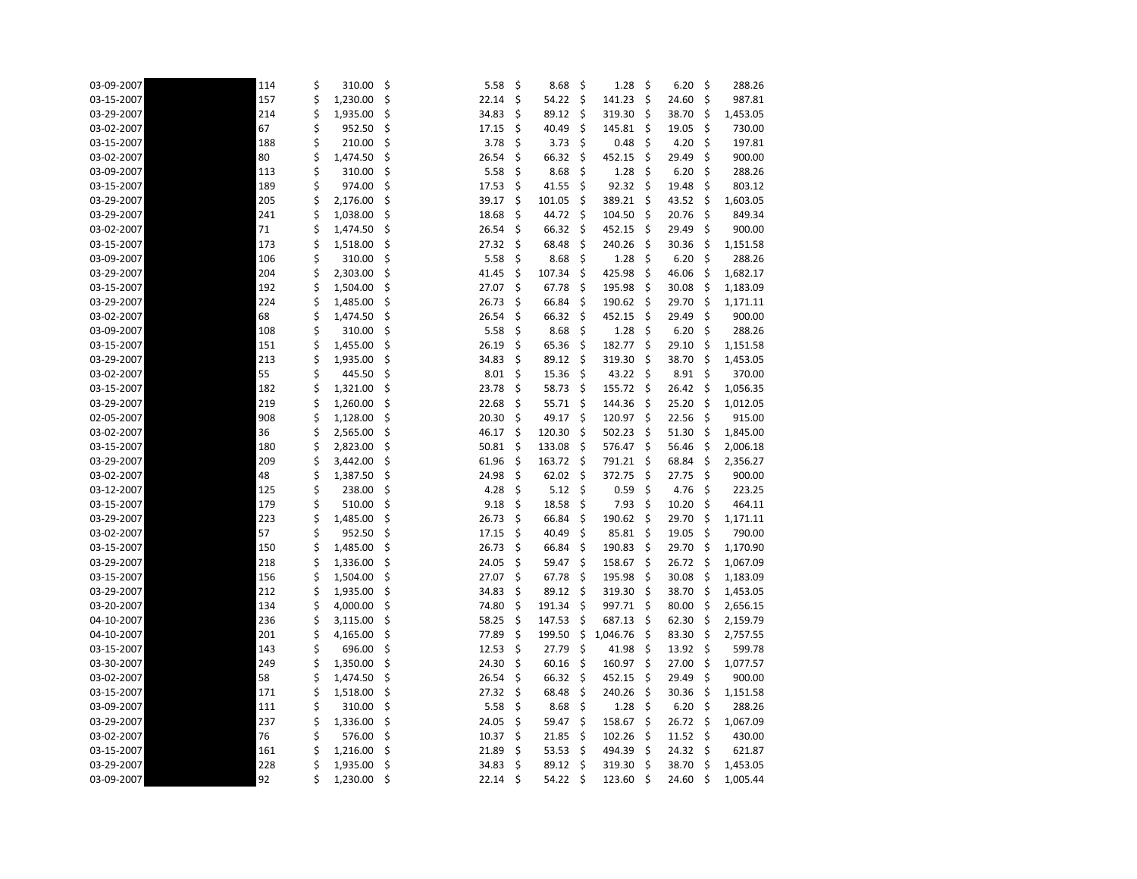| 03-09-2007 | 114 | \$<br>310.00   | \$  | 5.58  | \$ | 8.68   | \$  | 1.28     | \$  | 6.20            | \$  | 288.26   |
|------------|-----|----------------|-----|-------|----|--------|-----|----------|-----|-----------------|-----|----------|
| 03-15-2007 | 157 | \$<br>1,230.00 | \$  | 22.14 | \$ | 54.22  | \$  | 141.23   | Ŝ.  | 24.60           | \$  | 987.81   |
| 03-29-2007 | 214 | \$<br>1,935.00 | \$  | 34.83 | \$ | 89.12  | \$  | 319.30   | \$  | 38.70           | \$  | 1,453.05 |
| 03-02-2007 | 67  | 952.50         | \$  | 17.15 | \$ | 40.49  | \$  | 145.81   | -S  | 19.05           | \$  | 730.00   |
| 03-15-2007 | 188 | 210.00         | \$  | 3.78  | \$ | 3.73   | \$  | 0.48     | \$  | 4.20            | \$  | 197.81   |
| 03-02-2007 | 80  | \$<br>1,474.50 | \$  | 26.54 | \$ | 66.32  | \$  | 452.15   | \$  | 29.49           | \$  | 900.00   |
| 03-09-2007 | 113 | 310.00         | \$  | 5.58  | \$ | 8.68   | \$  | 1.28     | \$  | 6.20            | \$  | 288.26   |
| 03-15-2007 | 189 | 974.00         | \$  | 17.53 | \$ | 41.55  | \$  | 92.32    | \$  | 19.48           | \$  | 803.12   |
| 03-29-2007 | 205 | \$<br>2,176.00 | \$  | 39.17 | \$ | 101.05 | \$  | 389.21   | \$  | 43.52           | \$  | 1,603.05 |
| 03-29-2007 | 241 | \$<br>1,038.00 | \$  | 18.68 | \$ | 44.72  | \$  | 104.50   | -\$ | 20.76           | \$  | 849.34   |
| 03-02-2007 | 71  | \$<br>1,474.50 | \$  | 26.54 | \$ | 66.32  | \$  | 452.15   | -\$ | 29.49           | \$  | 900.00   |
| 03-15-2007 | 173 | 1,518.00       | \$  | 27.32 | \$ | 68.48  | \$  | 240.26   | -S  | 30.36           | \$  | 1,151.58 |
| 03-09-2007 | 106 | \$<br>310.00   | \$  | 5.58  | \$ | 8.68   | \$  | 1.28     | \$  | 6.20            | \$  | 288.26   |
| 03-29-2007 | 204 | \$<br>2,303.00 | \$  | 41.45 | \$ | 107.34 | \$  | 425.98   | \$  | 46.06           | \$  | 1,682.17 |
| 03-15-2007 | 192 | 1,504.00       | \$  | 27.07 | \$ | 67.78  | \$  | 195.98   | -\$ | 30.08           | \$  | 1,183.09 |
| 03-29-2007 | 224 | \$<br>1,485.00 | \$  | 26.73 | \$ | 66.84  | \$  | 190.62   | -\$ | 29.70           | \$  | 1,171.11 |
| 03-02-2007 | 68  | \$<br>1,474.50 | \$  | 26.54 | \$ | 66.32  | -\$ | 452.15   | -S  | 29.49           | \$  | 900.00   |
| 03-09-2007 | 108 | 310.00         | \$  | 5.58  | \$ | 8.68   | \$  | 1.28     | \$  | 6.20            | \$  | 288.26   |
| 03-15-2007 | 151 | 1,455.00       | \$  | 26.19 | \$ | 65.36  | \$  | 182.77   | \$  | 29.10           | \$  | 1,151.58 |
| 03-29-2007 | 213 | \$<br>1,935.00 | \$  | 34.83 | \$ | 89.12  | \$  | 319.30   | -\$ | 38.70           | \$  | 1,453.05 |
| 03-02-2007 | 55  | 445.50         | \$  | 8.01  | \$ | 15.36  | \$  | 43.22    | -\$ | 8.91            | \$  | 370.00   |
| 03-15-2007 | 182 | \$<br>1,321.00 | \$  | 23.78 | \$ | 58.73  | -\$ | 155.72   | -\$ | 26.42           | -\$ | 1,056.35 |
| 03-29-2007 | 219 | \$<br>1,260.00 | \$  | 22.68 | \$ | 55.71  | \$  | 144.36   | -S  | 25.20           | \$  | 1,012.05 |
| 02-05-2007 | 908 | \$<br>1,128.00 | \$  | 20.30 | \$ | 49.17  | \$  | 120.97   | \$  | 22.56           | \$  | 915.00   |
| 03-02-2007 | 36  | \$<br>2,565.00 | \$  | 46.17 | \$ | 120.30 | -\$ | 502.23   | -\$ | 51.30           | \$  | 1,845.00 |
| 03-15-2007 | 180 | 2,823.00       | \$  | 50.81 | \$ | 133.08 | \$  | 576.47   | \$  | 56.46           | \$  | 2,006.18 |
| 03-29-2007 | 209 | \$<br>3,442.00 | \$  | 61.96 | \$ | 163.72 | -\$ | 791.21   | -\$ | 68.84           | \$  | 2,356.27 |
| 03-02-2007 | 48  | \$<br>1,387.50 | \$  | 24.98 | \$ | 62.02  | \$  | 372.75   | -S  | 27.75           | \$  | 900.00   |
| 03-12-2007 | 125 | 238.00         | \$  | 4.28  | \$ | 5.12   | \$  | 0.59     | \$  | 4.76            | \$  | 223.25   |
| 03-15-2007 | 179 | 510.00         | \$  | 9.18  | \$ | 18.58  | \$  | 7.93     | \$  | 10.20           | \$  | 464.11   |
| 03-29-2007 | 223 | 1,485.00       | \$  | 26.73 | \$ | 66.84  | \$  | 190.62   | -S  | 29.70           | \$  | 1,171.11 |
| 03-02-2007 | 57  | 952.50         |     | 17.15 | \$ | 40.49  | \$  | 85.81    | \$  | $19.05 \quad $$ |     | 790.00   |
| 03-15-2007 | 150 | \$<br>1,485.00 | \$  | 26.73 | \$ | 66.84  | \$, | 190.83   | -\$ | 29.70           | \$  | 1,170.90 |
| 03-29-2007 | 218 | \$<br>1,336.00 | \$  | 24.05 | \$ | 59.47  | \$  | 158.67   | -S  | 26.72           | \$  | 1,067.09 |
| 03-15-2007 | 156 | \$<br>1,504.00 | \$  | 27.07 | \$ | 67.78  | -S  | 195.98   | -\$ | 30.08           | -\$ | 1,183.09 |
| 03-29-2007 | 212 | \$<br>1,935.00 | \$. | 34.83 | \$ | 89.12  | -S  | 319.30   | -S  | 38.70           | \$  | 1,453.05 |
| 03-20-2007 | 134 | 4,000.00       | \$. | 74.80 | \$ | 191.34 | \$  | 997.71   | -S  | 80.00           | \$. | 2,656.15 |
| 04-10-2007 | 236 | 3,115.00       | \$  | 58.25 | \$ | 147.53 | -Ş  | 687.13   | -\$ | 62.30           | \$  | 2,159.79 |
| 04-10-2007 | 201 | \$<br>4,165.00 | \$  | 77.89 | \$ | 199.50 | \$  | 1,046.76 | -S  | 83.30           | -\$ | 2,757.55 |
| 03-15-2007 | 143 | \$<br>696.00   | \$. | 12.53 | \$ | 27.79  | \$  | 41.98    | -\$ | 13.92           | -\$ | 599.78   |
| 03-30-2007 | 249 | \$<br>1,350.00 | Ş   | 24.30 | -Ş | 60.16  | -Ş  | 160.97   | -\$ | 27.00           | S   | 1,077.57 |
| 03-02-2007 | 58  | \$<br>1,474.50 | S   | 26.54 | \$ | 66.32  | -\$ | 452.15   | -S  | 29.49           | \$. | 900.00   |
| 03-15-2007 | 171 | 1,518.00       | \$  | 27.32 | \$ | 68.48  | -\$ | 240.26   | -S  | 30.36           | \$. | 1,151.58 |
| 03-09-2007 | 111 | \$<br>310.00   | \$  | 5.58  | \$ | 8.68   | \$  | 1.28     | -\$ | 6.20            | \$  | 288.26   |
| 03-29-2007 | 237 | 1,336.00       | \$  | 24.05 | \$ | 59.47  | S   | 158.67   | Ŝ.  | 26.72           | -\$ | 1,067.09 |
| 03-02-2007 | 76  | \$<br>576.00   | \$  | 10.37 | \$ | 21.85  | -\$ | 102.26   | -\$ | 11.52           | -\$ | 430.00   |
| 03-15-2007 | 161 | \$<br>1,216.00 | S   | 21.89 | S  | 53.53  | -S  | 494.39   | -S  | 24.32           | -\$ | 621.87   |
| 03-29-2007 | 228 | \$<br>1,935.00 | \$  | 34.83 | \$ | 89.12  | \$  | 319.30   | -\$ | 38.70           | \$  | 1,453.05 |
| 03-09-2007 | 92  | \$<br>1,230.00 | -\$ | 22.14 | \$ | 54.22  | -Ş  | 123.60   | -\$ | 24.60           | \$  | 1,005.44 |